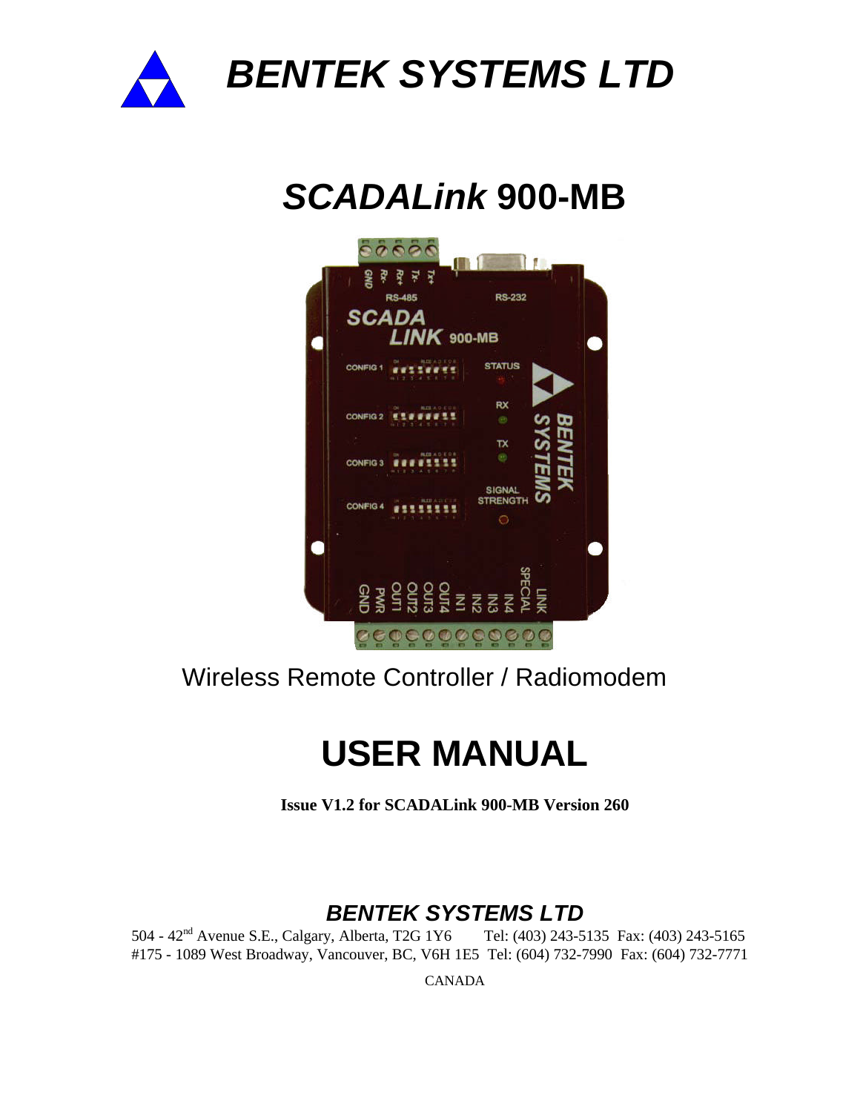

*BENTEK SYSTEMS LTD*

# *SCADALink* **900-MB**



## Wireless Remote Controller / Radiomodem

## **USER MANUAL**

**Issue V1.2 for SCADALink 900-MB Version 260**

### *BENTEK SYSTEMS LTD*

504 - 42nd Avenue S.E., Calgary, Alberta, T2G 1Y6 Tel: (403) 243-5135 Fax: (403) 243-5165 #175 - 1089 West Broadway, Vancouver, BC, V6H 1E5 Tel: (604) 732-7990 Fax: (604) 732-7771

CANADA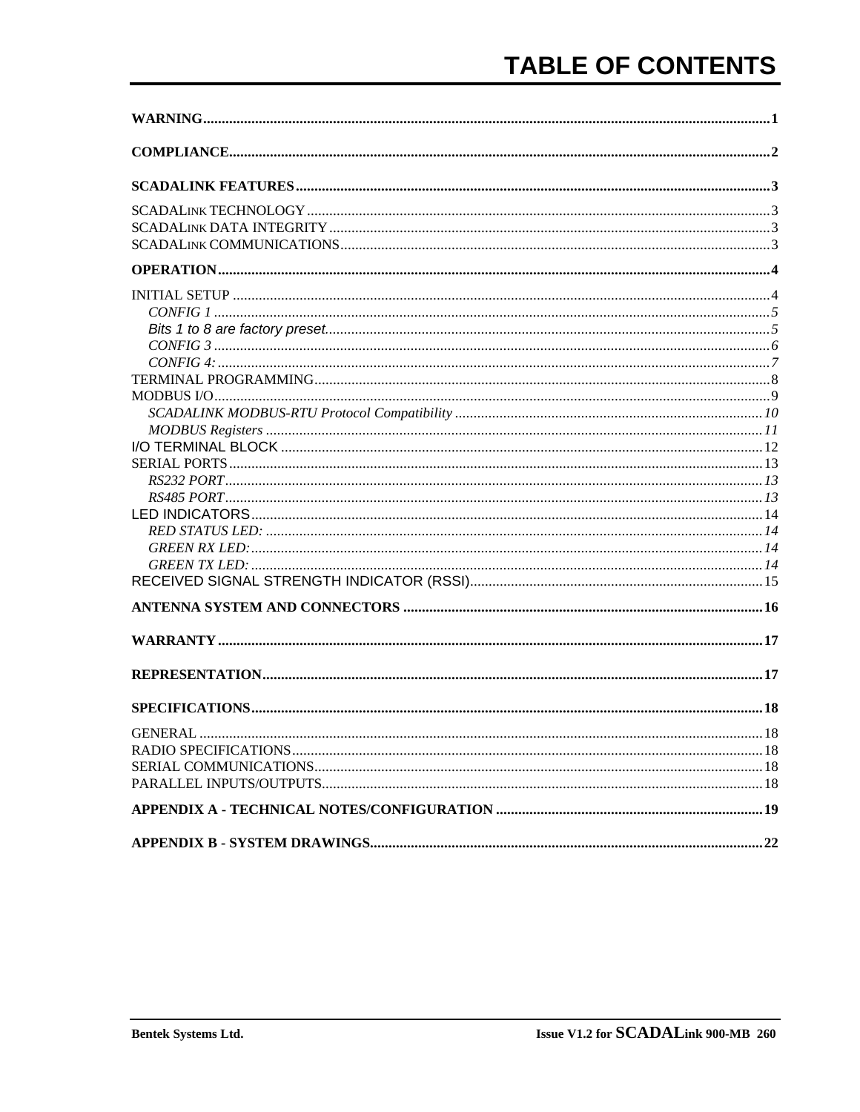| <b>GENERAI</b> | .18 |
|----------------|-----|
|                |     |
|                |     |
|                |     |
|                |     |
|                |     |
|                |     |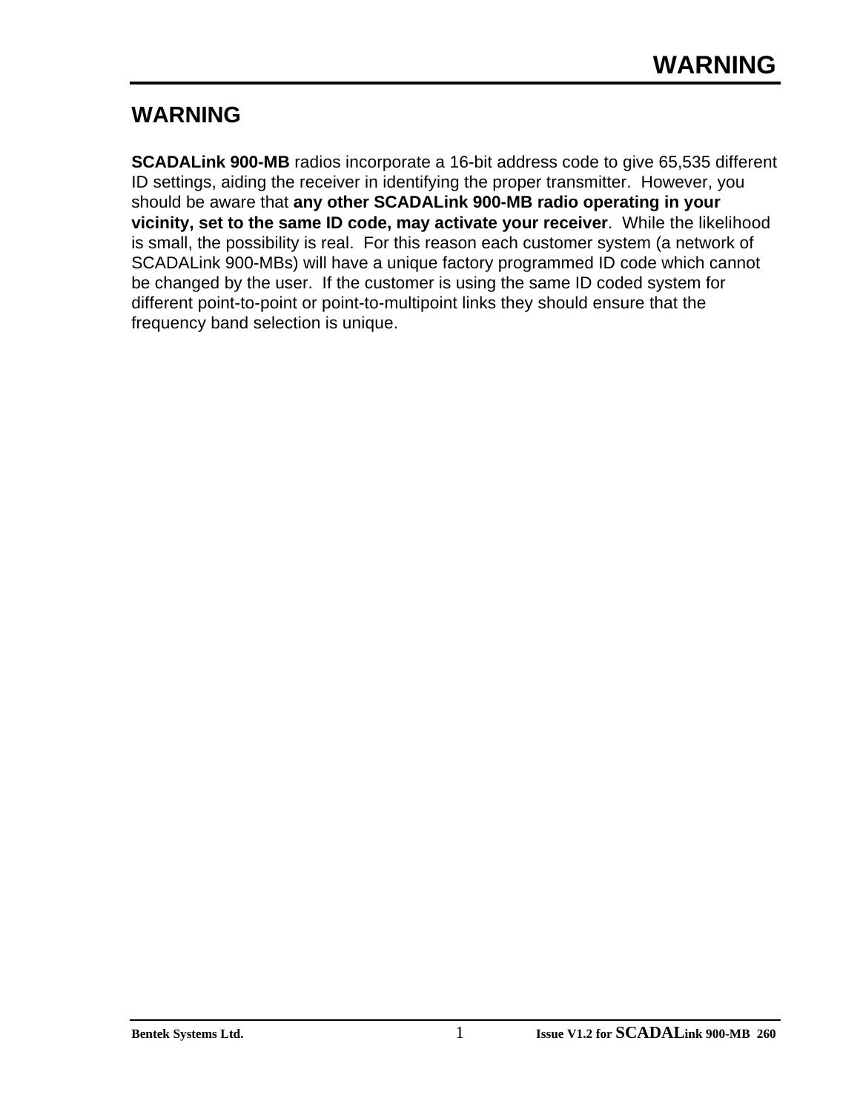### **WARNING**

**SCADALink 900-MB** radios incorporate a 16-bit address code to give 65,535 different ID settings, aiding the receiver in identifying the proper transmitter. However, you should be aware that **any other SCADALink 900-MB radio operating in your vicinity, set to the same ID code, may activate your receiver**. While the likelihood is small, the possibility is real. For this reason each customer system (a network of SCADALink 900-MBs) will have a unique factory programmed ID code which cannot be changed by the user. If the customer is using the same ID coded system for different point-to-point or point-to-multipoint links they should ensure that the frequency band selection is unique.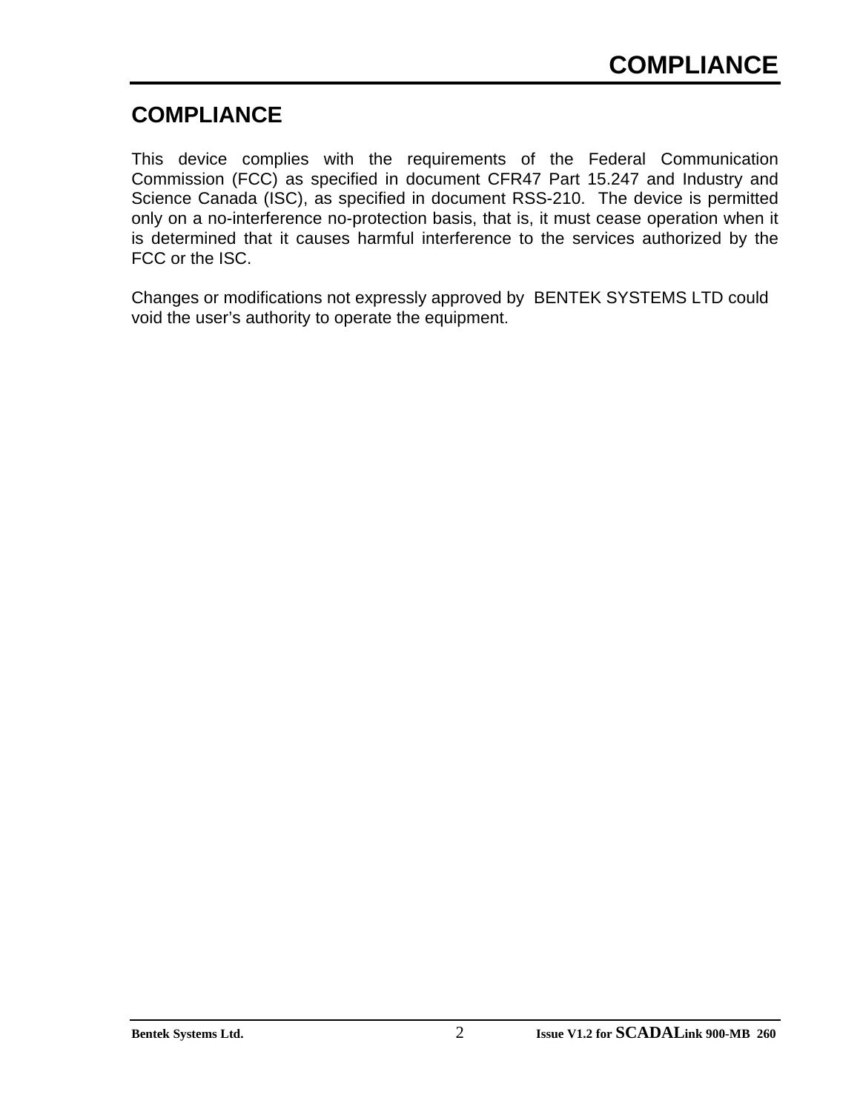### **COMPLIANCE**

This device complies with the requirements of the Federal Communication Commission (FCC) as specified in document CFR47 Part 15.247 and Industry and Science Canada (ISC), as specified in document RSS-210. The device is permitted only on a no-interference no-protection basis, that is, it must cease operation when it is determined that it causes harmful interference to the services authorized by the FCC or the ISC.

Changes or modifications not expressly approved by BENTEK SYSTEMS LTD could void the user's authority to operate the equipment.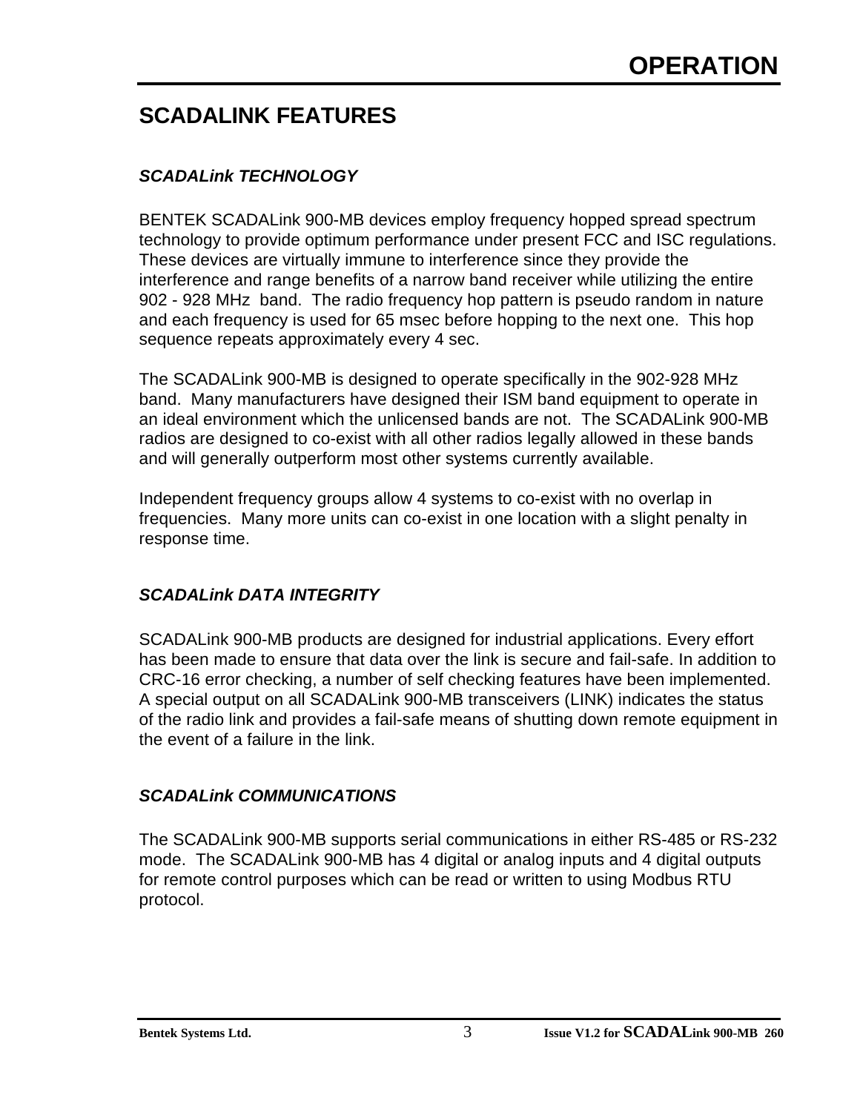### **SCADALINK FEATURES**

### *SCADALink TECHNOLOGY*

BENTEK SCADALink 900-MB devices employ frequency hopped spread spectrum technology to provide optimum performance under present FCC and ISC regulations. These devices are virtually immune to interference since they provide the interference and range benefits of a narrow band receiver while utilizing the entire 902 - 928 MHz band. The radio frequency hop pattern is pseudo random in nature and each frequency is used for 65 msec before hopping to the next one. This hop sequence repeats approximately every 4 sec.

The SCADALink 900-MB is designed to operate specifically in the 902-928 MHz band. Many manufacturers have designed their ISM band equipment to operate in an ideal environment which the unlicensed bands are not. The SCADALink 900-MB radios are designed to co-exist with all other radios legally allowed in these bands and will generally outperform most other systems currently available.

Independent frequency groups allow 4 systems to co-exist with no overlap in frequencies. Many more units can co-exist in one location with a slight penalty in response time.

#### *SCADALink DATA INTEGRITY*

SCADALink 900-MB products are designed for industrial applications. Every effort has been made to ensure that data over the link is secure and fail-safe. In addition to CRC-16 error checking, a number of self checking features have been implemented. A special output on all SCADALink 900-MB transceivers (LINK) indicates the status of the radio link and provides a fail-safe means of shutting down remote equipment in the event of a failure in the link.

#### *SCADALink COMMUNICATIONS*

The SCADALink 900-MB supports serial communications in either RS-485 or RS-232 mode. The SCADALink 900-MB has 4 digital or analog inputs and 4 digital outputs for remote control purposes which can be read or written to using Modbus RTU protocol.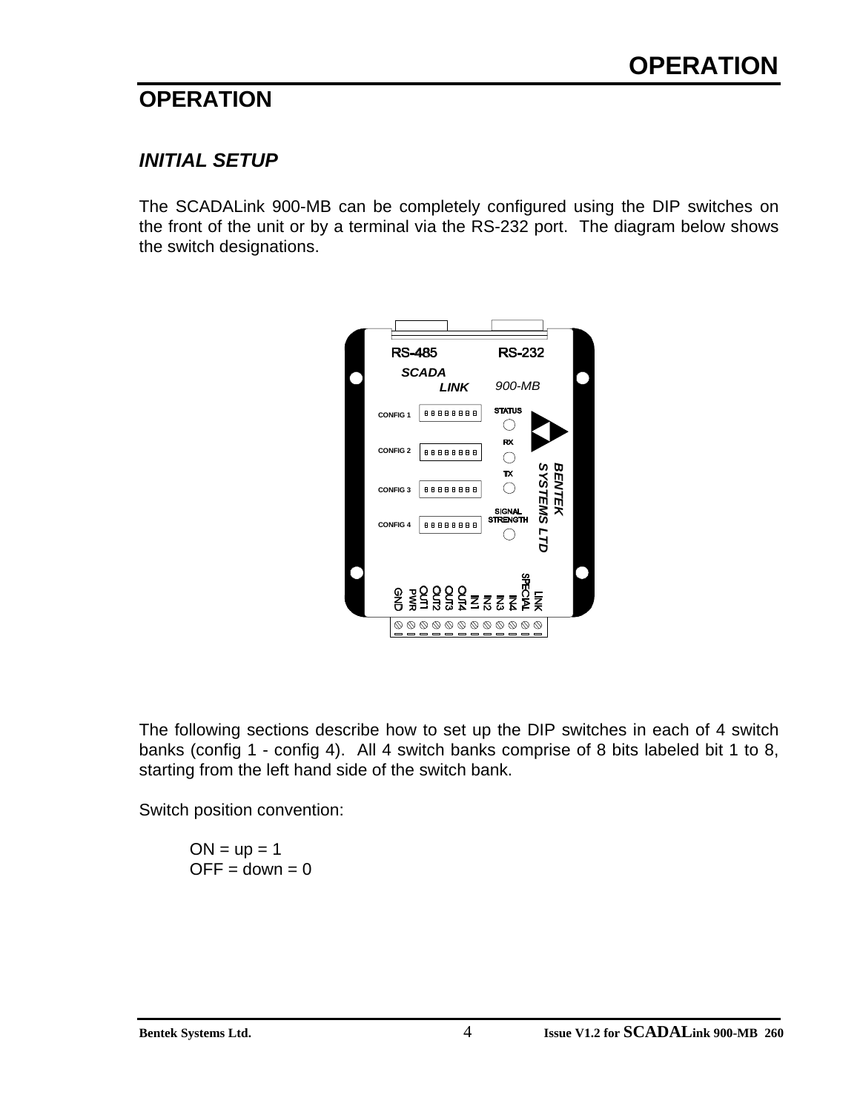### **OPERATION**

### *INITIAL SETUP*

The SCADALink 900-MB can be completely configured using the DIP switches on the front of the unit or by a terminal via the RS-232 port. The diagram below shows the switch designations.



The following sections describe how to set up the DIP switches in each of 4 switch banks (config 1 - config 4). All 4 switch banks comprise of 8 bits labeled bit 1 to 8, starting from the left hand side of the switch bank.

Switch position convention:

 $ON = up = 1$  $OFF = down = 0$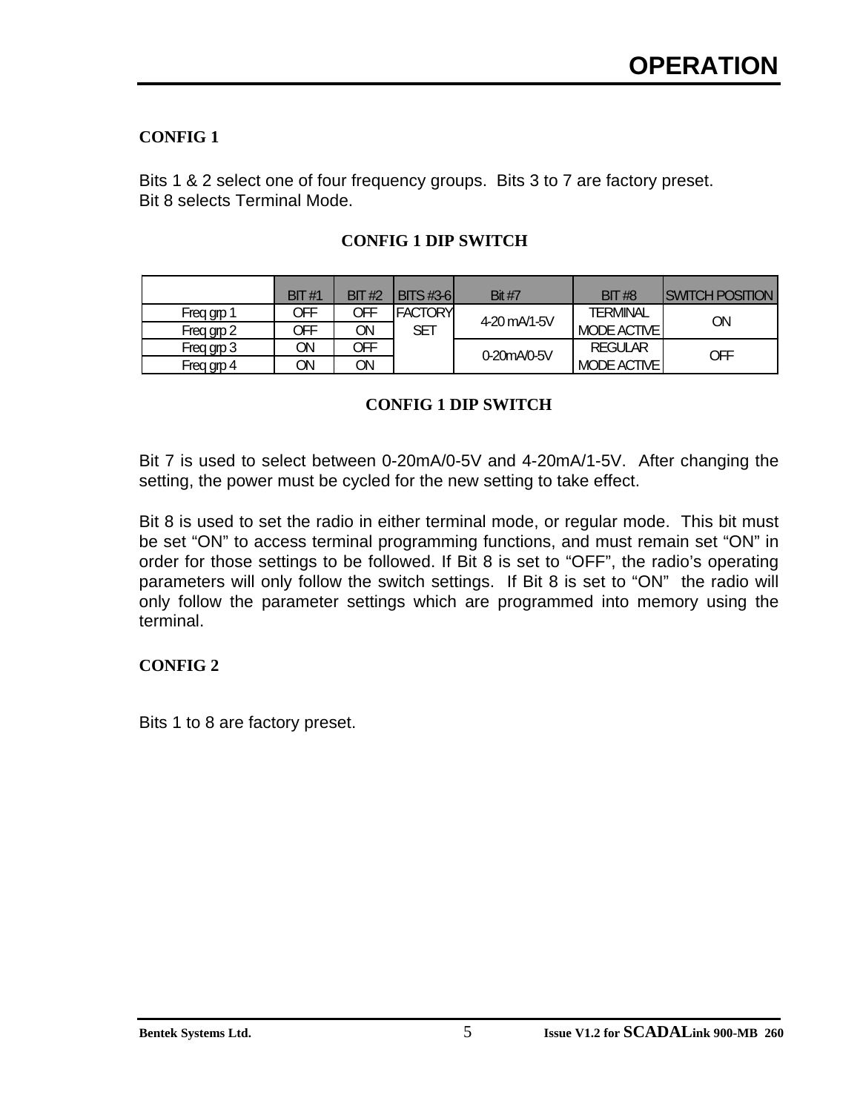#### **CONFIG 1**

Bits 1 & 2 select one of four frequency groups. Bits 3 to 7 are factory preset. Bit 8 selects Terminal Mode.

|            | BIT#1 | BIT#2 | <b>IBITS#3-61</b> | <b>Bit #7</b> | BIT#8              | <b>ISWITCH POSITION</b> |
|------------|-------|-------|-------------------|---------------|--------------------|-------------------------|
| Freq grp 1 | OFF   | OFF   | <b>FACTORY</b>    | 4-20 mA/1-5V  | <b>TERMINAL</b>    | ΟN                      |
| Freq grp 2 | OFF   | ON    | <b>SET</b>        |               | <b>MODE ACTIVE</b> |                         |
| Freq grp 3 | VC.   | OFF   |                   | 0-20mA/0-5V   | <b>REGULAR</b>     | OFF                     |
| Freq grp 4 | ON    | ON    |                   |               | <b>MODE ACTIVE</b> |                         |

#### **CONFIG 1 DIP SWITCH**

#### **CONFIG 1 DIP SWITCH**

Bit 7 is used to select between 0-20mA/0-5V and 4-20mA/1-5V. After changing the setting, the power must be cycled for the new setting to take effect.

Bit 8 is used to set the radio in either terminal mode, or regular mode. This bit must be set "ON" to access terminal programming functions, and must remain set "ON" in order for those settings to be followed. If Bit 8 is set to "OFF", the radio's operating parameters will only follow the switch settings. If Bit 8 is set to "ON" the radio will only follow the parameter settings which are programmed into memory using the terminal.

#### **CONFIG 2**

Bits 1 to 8 are factory preset.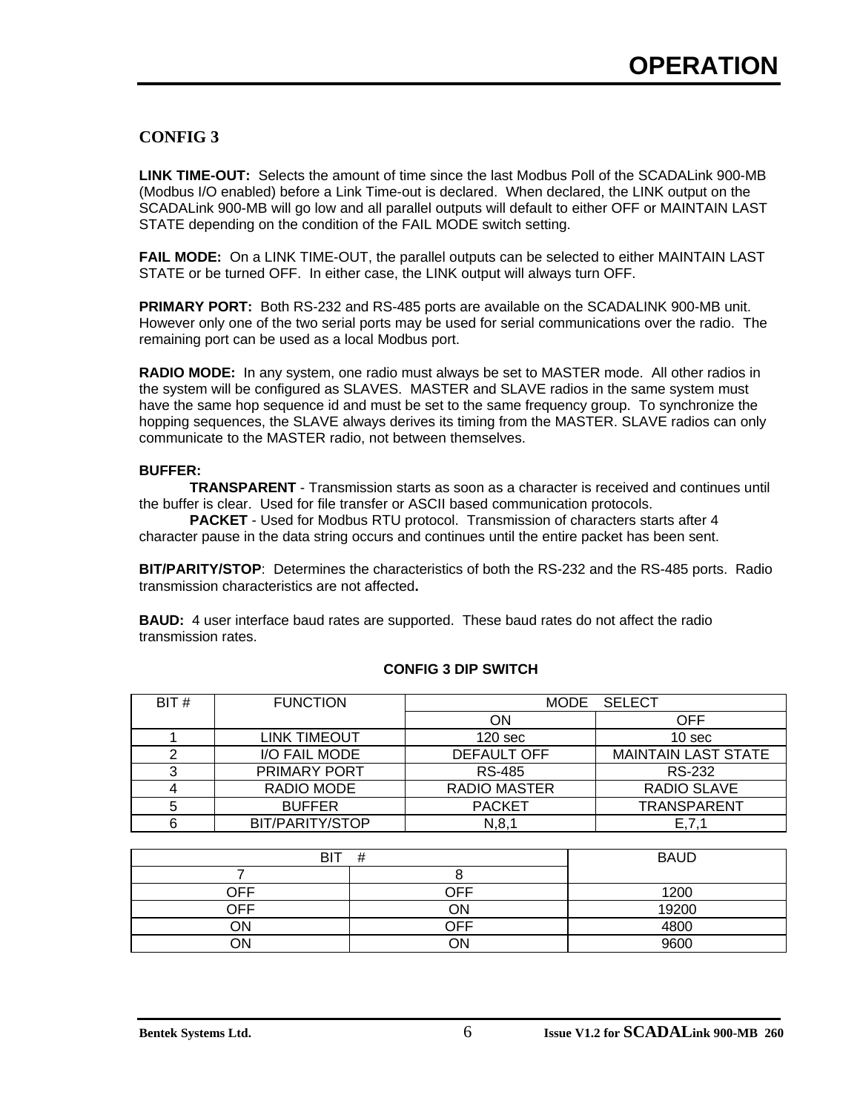#### **CONFIG 3**

**LINK TIME-OUT:** Selects the amount of time since the last Modbus Poll of the SCADALink 900-MB (Modbus I/O enabled) before a Link Time-out is declared. When declared, the LINK output on the SCADALink 900-MB will go low and all parallel outputs will default to either OFF or MAINTAIN LAST STATE depending on the condition of the FAIL MODE switch setting.

**FAIL MODE:** On a LINK TIME-OUT, the parallel outputs can be selected to either MAINTAIN LAST STATE or be turned OFF. In either case, the LINK output will always turn OFF.

**PRIMARY PORT:** Both RS-232 and RS-485 ports are available on the SCADALINK 900-MB unit. However only one of the two serial ports may be used for serial communications over the radio. The remaining port can be used as a local Modbus port.

**RADIO MODE:** In any system, one radio must always be set to MASTER mode. All other radios in the system will be configured as SLAVES. MASTER and SLAVE radios in the same system must have the same hop sequence id and must be set to the same frequency group. To synchronize the hopping sequences, the SLAVE always derives its timing from the MASTER. SLAVE radios can only communicate to the MASTER radio, not between themselves.

#### **BUFFER:**

**TRANSPARENT** - Transmission starts as soon as a character is received and continues until the buffer is clear. Used for file transfer or ASCII based communication protocols.

**PACKET** - Used for Modbus RTU protocol. Transmission of characters starts after 4 character pause in the data string occurs and continues until the entire packet has been sent.

**BIT/PARITY/STOP**:Determines the characteristics of both the RS-232 and the RS-485 ports. Radio transmission characteristics are not affected**.**

**BAUD:** 4 user interface baud rates are supported. These baud rates do not affect the radio transmission rates.

| BIT#   | <b>FUNCTION</b>     |                    | MODE SELECT                |
|--------|---------------------|--------------------|----------------------------|
|        |                     | ΟN                 | OFF                        |
|        | LINK TIMEOUT        | 120 <sub>sec</sub> | 10 <sub>sec</sub>          |
|        | I/O FAIL MODE       | DEFAULT OFF        | <b>MAINTAIN LAST STATE</b> |
| ົ<br>د | <b>PRIMARY PORT</b> | <b>RS-485</b>      | RS-232                     |
| 4      | RADIO MODE          | RADIO MASTER       | RADIO SLAVE                |
| 5      | <b>BUFFER</b>       | <b>PACKET</b>      | <b>TRANSPARENT</b>         |
| 6      | BIT/PARITY/STOP     | N, 8, 1            | E, 7, 1                    |

#### **CONFIG 3 DIP SWITCH**

| BIT | <b>BAUD</b> |       |
|-----|-------------|-------|
|     |             |       |
| OFF | ∩FF         | 1200  |
| OFF | ON          | 19200 |
| OΝ  | ∩FF         | 4800  |
| 7N  | ገN          | 9600  |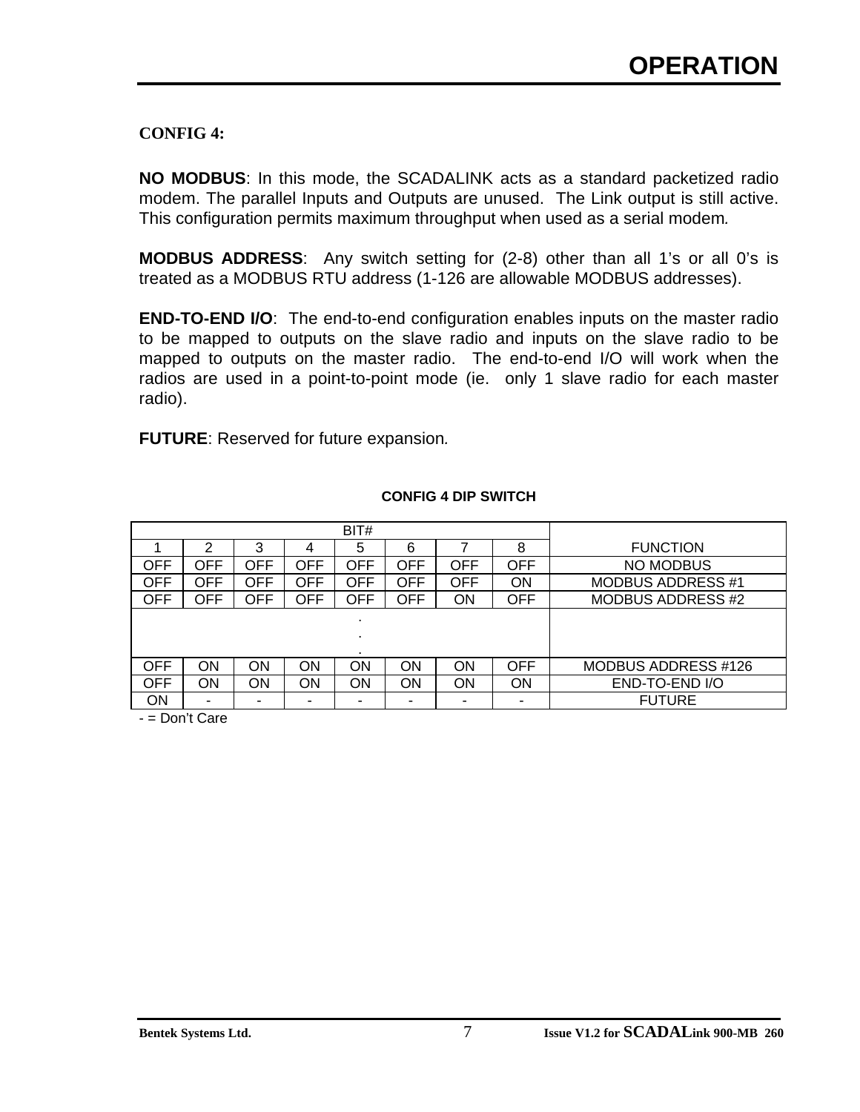#### **CONFIG 4:**

**NO MODBUS**: In this mode, the SCADALINK acts as a standard packetized radio modem. The parallel Inputs and Outputs are unused. The Link output is still active. This configuration permits maximum throughput when used as a serial modem*.*

**MODBUS ADDRESS**: Any switch setting for (2-8) other than all 1's or all 0's is treated as a MODBUS RTU address (1-126 are allowable MODBUS addresses).

**END-TO-END I/O**: The end-to-end configuration enables inputs on the master radio to be mapped to outputs on the slave radio and inputs on the slave radio to be mapped to outputs on the master radio. The end-to-end I/O will work when the radios are used in a point-to-point mode (ie. only 1 slave radio for each master radio).

**FUTURE**: Reserved for future expansion*.*

|     |     |            |            | BIT#       |     |           |            |                          |
|-----|-----|------------|------------|------------|-----|-----------|------------|--------------------------|
|     | າ   | 3          | 4          | 5          | 6   |           | 8          | <b>FUNCTION</b>          |
| OFF | OFF | OFF        | OFF        | <b>OFF</b> | OFF | OFF       | OFF        | <b>NO MODBUS</b>         |
| OFF | OFF | OFF        | OFF        | OFF        | OFF | OFF       | ON         | <b>MODBUS ADDRESS #1</b> |
| OFF | OFF | <b>OFF</b> | <b>OFF</b> | <b>OFF</b> | OFF | <b>ON</b> | OFF        | MODBUS ADDRESS #2        |
|     |     |            |            | ٠          |     |           |            |                          |
|     |     |            |            |            |     |           |            |                          |
|     |     |            |            |            |     |           |            |                          |
| OFF | ΟN  | ON         | ΟN         | ON         | ON  | ON        | <b>OFF</b> | MODBUS ADDRESS #126      |
| OFF | ΟN  | ΟN         | ON         | ON         | ON  | ON        | ON         | END-TO-END I/O           |
| ON  | -   |            | ۰          | ۰          |     | -         | -          | <b>FUTURE</b>            |

#### **CONFIG 4 DIP SWITCH**

- = Don't Care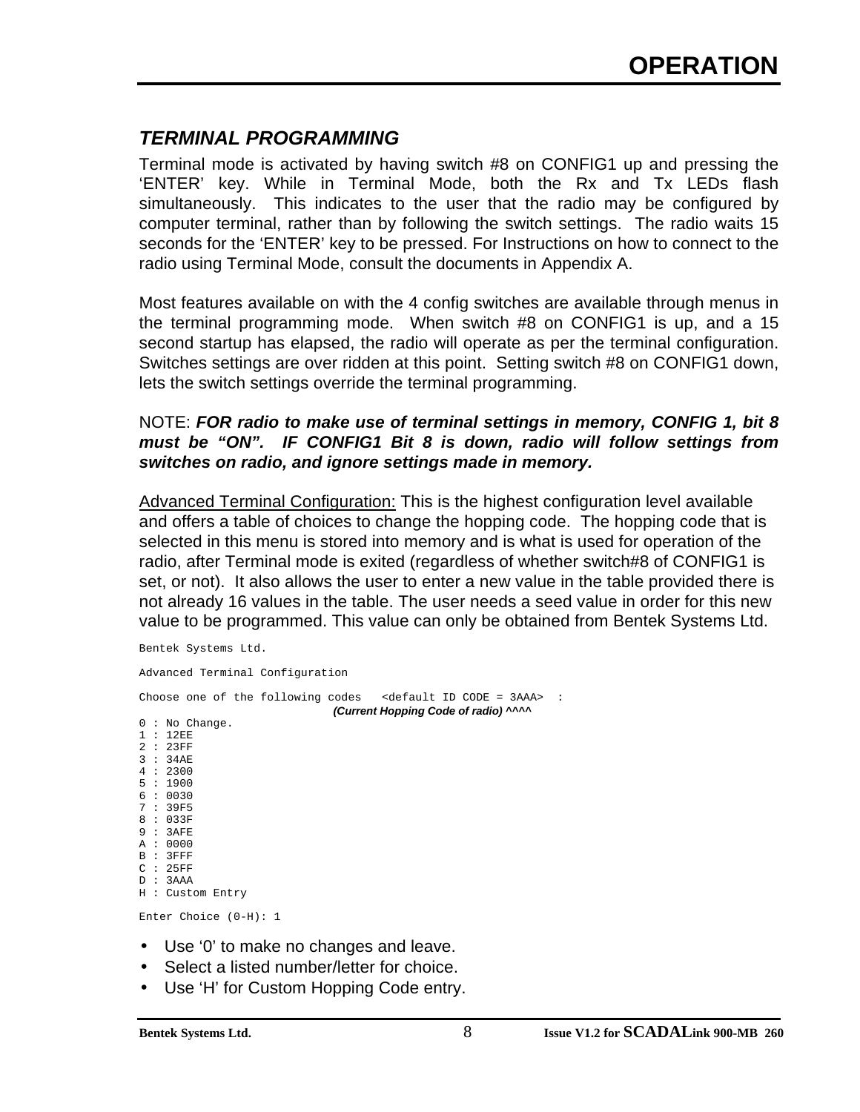### *TERMINAL PROGRAMMING*

Terminal mode is activated by having switch #8 on CONFIG1 up and pressing the 'ENTER' key. While in Terminal Mode, both the Rx and Tx LEDs flash simultaneously. This indicates to the user that the radio may be configured by computer terminal, rather than by following the switch settings. The radio waits 15 seconds for the 'ENTER' key to be pressed. For Instructions on how to connect to the radio using Terminal Mode, consult the documents in Appendix A.

Most features available on with the 4 config switches are available through menus in the terminal programming mode. When switch #8 on CONFIG1 is up, and a 15 second startup has elapsed, the radio will operate as per the terminal configuration. Switches settings are over ridden at this point. Setting switch #8 on CONFIG1 down, lets the switch settings override the terminal programming.

#### NOTE: *FOR radio to make use of terminal settings in memory, CONFIG 1, bit 8 must be "ON". IF CONFIG1 Bit 8 is down, radio will follow settings from switches on radio, and ignore settings made in memory.*

Advanced Terminal Configuration: This is the highest configuration level available and offers a table of choices to change the hopping code. The hopping code that is selected in this menu is stored into memory and is what is used for operation of the radio, after Terminal mode is exited (regardless of whether switch#8 of CONFIG1 is set, or not). It also allows the user to enter a new value in the table provided there is not already 16 values in the table. The user needs a seed value in order for this new value to be programmed. This value can only be obtained from Bentek Systems Ltd.

Bentek Systems Ltd.

Advanced Terminal Configuration

|  |                                                                                        |                 |                         | Choose one of the following codes $\leq$ <default code="3AAA" id=""> :</default> |                                      |  |  |
|--|----------------------------------------------------------------------------------------|-----------------|-------------------------|----------------------------------------------------------------------------------|--------------------------------------|--|--|
|  | 1:12EE<br>2:23FF<br>3:34AE<br>4:2300<br>5:1900<br>6:0030<br>7:39F5<br>8:033F<br>9:3AFE | $0:$ No Change. |                         |                                                                                  | (Current Hopping Code of radio) ^^^^ |  |  |
|  | A : 0000<br>B : 3FFF                                                                   |                 |                         |                                                                                  |                                      |  |  |
|  | C: 25FF<br>D : 3AAA                                                                    | H: Custom Entry |                         |                                                                                  |                                      |  |  |
|  |                                                                                        |                 | Enter Choice $(0-H): 1$ |                                                                                  |                                      |  |  |
|  |                                                                                        |                 |                         | • Use '0' to make no changes and leave.                                          |                                      |  |  |

- Select a listed number/letter for choice.
- Use 'H' for Custom Hopping Code entry.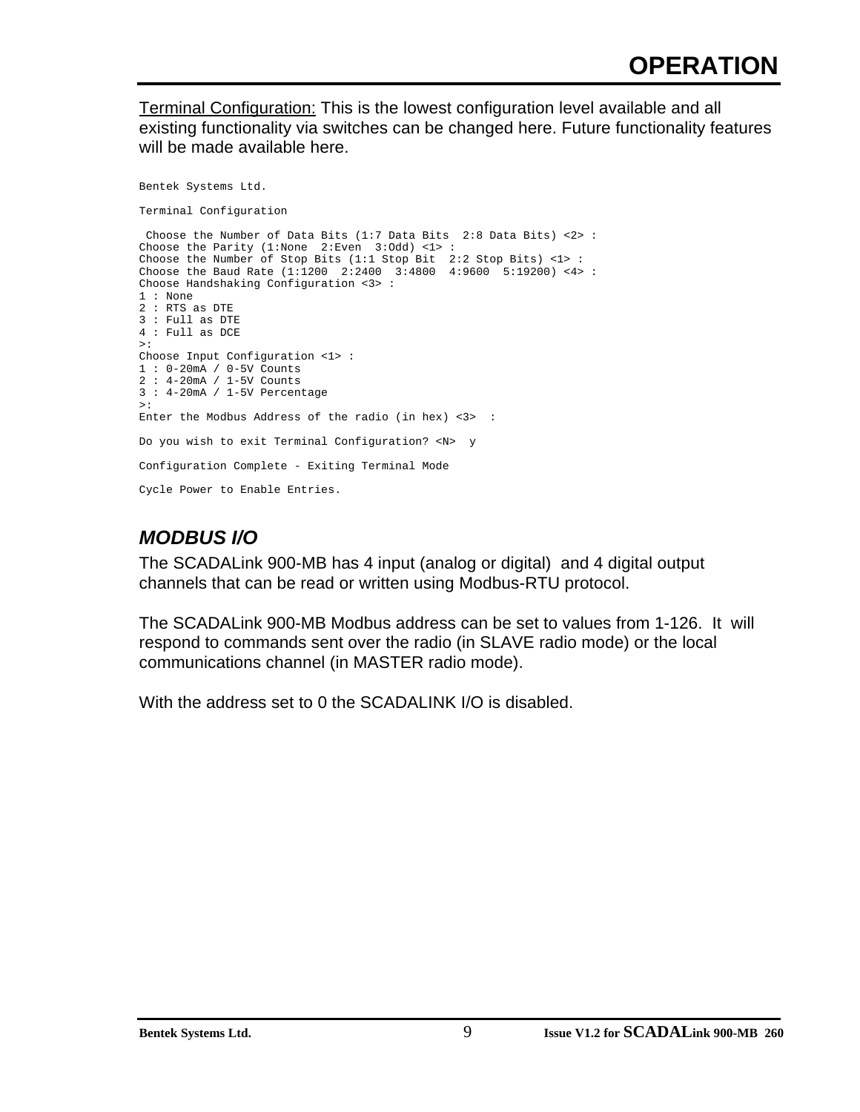Terminal Configuration: This is the lowest configuration level available and all existing functionality via switches can be changed here. Future functionality features will be made available here.

Bentek Systems Ltd. Terminal Configuration Choose the Number of Data Bits (1:7 Data Bits 2:8 Data Bits) <2> : Choose the Parity (1:None 2:Even 3:Odd) <1> : Choose the Number of Stop Bits (1:1 Stop Bit 2:2 Stop Bits) <1> : Choose the Baud Rate (1:1200 2:2400 3:4800 4:9600 5:19200) <4> : Choose Handshaking Configuration <3> : 1 : None 2 : RTS as DTE 3 : Full as DTE 4 : Full as DCE >: Choose Input Configuration <1> : 1 : 0-20mA / 0-5V Counts 2 : 4-20mA / 1-5V Counts 3 : 4-20mA / 1-5V Percentage >: Enter the Modbus Address of the radio (in hex) <3> : Do you wish to exit Terminal Configuration? <N> y Configuration Complete - Exiting Terminal Mode Cycle Power to Enable Entries.

### *MODBUS I/O*

The SCADALink 900-MB has 4 input (analog or digital) and 4 digital output channels that can be read or written using Modbus-RTU protocol.

The SCADALink 900-MB Modbus address can be set to values from 1-126. It will respond to commands sent over the radio (in SLAVE radio mode) or the local communications channel (in MASTER radio mode).

With the address set to 0 the SCADALINK I/O is disabled.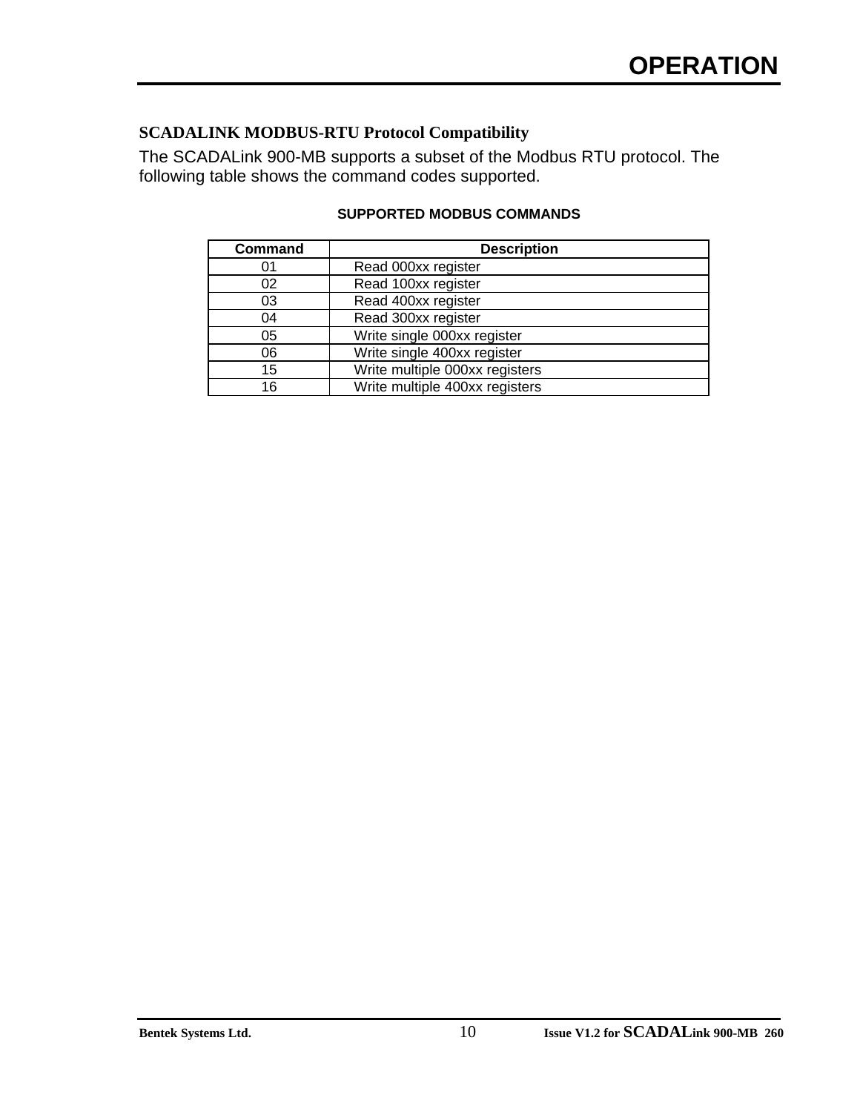#### **SCADALINK MODBUS-RTU Protocol Compatibility**

The SCADALink 900-MB supports a subset of the Modbus RTU protocol. The following table shows the command codes supported.

| <b>Description</b>             |
|--------------------------------|
| Read 000xx register            |
| Read 100xx register            |
| Read 400xx register            |
| Read 300xx register            |
| Write single 000xx register    |
| Write single 400xx register    |
| Write multiple 000xx registers |
| Write multiple 400xx registers |
|                                |

#### **SUPPORTED MODBUS COMMANDS**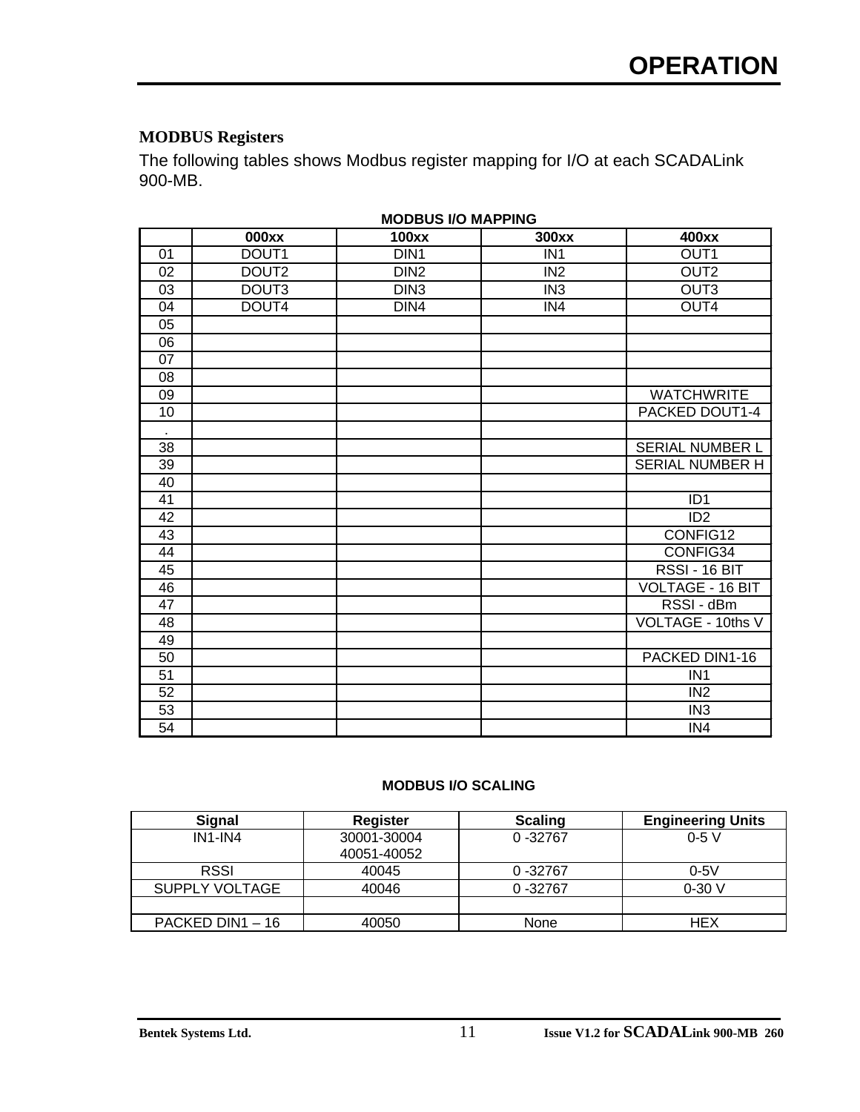#### **MODBUS Registers**

The following tables shows Modbus register mapping for I/O at each SCADALink 900-MB.

|    | 000xx             | 100xx            | 300xx           | 400xx                   |
|----|-------------------|------------------|-----------------|-------------------------|
| 01 | DOUT1             | DIN <sub>1</sub> | IN <sub>1</sub> | OUT <sub>1</sub>        |
| 02 | DOUT <sub>2</sub> | DIN <sub>2</sub> | IN <sub>2</sub> | OUT <sub>2</sub>        |
| 03 | DOUT3             | DIN3             | IN <sub>3</sub> | OUT <sub>3</sub>        |
| 04 | DOUT4             | DIN4             | IN4             | OUT4                    |
| 05 |                   |                  |                 |                         |
| 06 |                   |                  |                 |                         |
| 07 |                   |                  |                 |                         |
| 08 |                   |                  |                 |                         |
| 09 |                   |                  |                 | <b>WATCHWRITE</b>       |
| 10 |                   |                  |                 | PACKED DOUT1-4          |
|    |                   |                  |                 |                         |
| 38 |                   |                  |                 | <b>SERIAL NUMBER L</b>  |
| 39 |                   |                  |                 | SERIAL NUMBER H         |
| 40 |                   |                  |                 |                         |
| 41 |                   |                  |                 | ID <sub>1</sub>         |
| 42 |                   |                  |                 | ID <sub>2</sub>         |
| 43 |                   |                  |                 | CONFIG12                |
| 44 |                   |                  |                 | CONFIG34                |
| 45 |                   |                  |                 | RSSI - 16 BIT           |
| 46 |                   |                  |                 | <b>VOLTAGE - 16 BIT</b> |
| 47 |                   |                  |                 | RSSI - dBm              |
| 48 |                   |                  |                 | VOLTAGE - 10ths V       |
| 49 |                   |                  |                 |                         |
| 50 |                   |                  |                 | PACKED DIN1-16          |
| 51 |                   |                  |                 | IN <sub>1</sub>         |
| 52 |                   |                  |                 | IN <sub>2</sub>         |
| 53 |                   |                  |                 | IN <sub>3</sub>         |
| 54 |                   |                  |                 | IN4                     |

**MODBUS I/O MAPPING**

#### **MODBUS I/O SCALING**

| <b>Signal</b>         | <b>Register</b>            | <b>Scaling</b> | <b>Engineering Units</b> |
|-----------------------|----------------------------|----------------|--------------------------|
| $IN1$ - $IN4$         | 30001-30004<br>40051-40052 | $0 - 32767$    | $0-5V$                   |
|                       |                            |                |                          |
| <b>RSSI</b>           | 40045                      | $0 - 32767$    | $0-5V$                   |
| <b>SUPPLY VOLTAGE</b> | 40046                      | $0 - 32767$    | $0-30V$                  |
|                       |                            |                |                          |
| PACKED DIN1 - 16      | 40050                      | None           | HEX                      |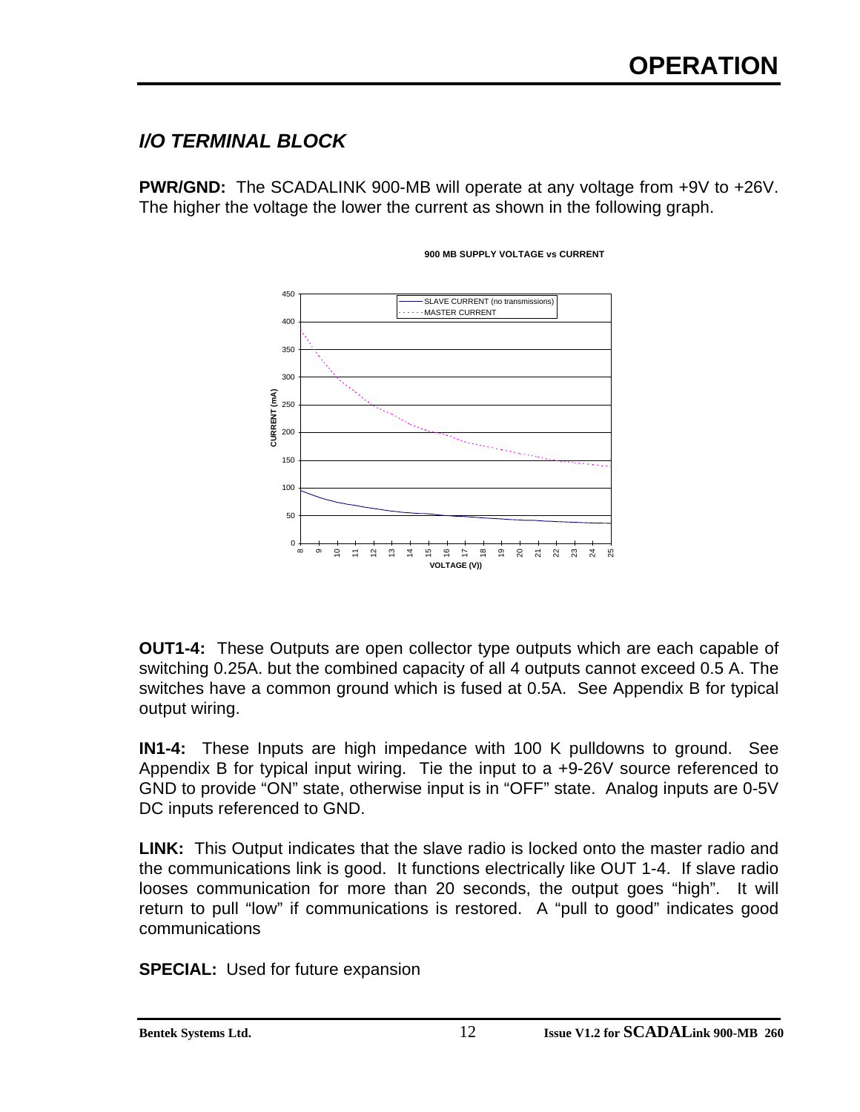### *I/O TERMINAL BLOCK*

**PWR/GND:** The SCADALINK 900-MB will operate at any voltage from +9V to +26V. The higher the voltage the lower the current as shown in the following graph.



#### **900 MB SUPPLY VOLTAGE vs CURRENT**

**OUT1-4:** These Outputs are open collector type outputs which are each capable of switching 0.25A. but the combined capacity of all 4 outputs cannot exceed 0.5 A. The switches have a common ground which is fused at 0.5A. See Appendix B for typical output wiring.

**IN1-4:** These Inputs are high impedance with 100 K pulldowns to ground. See Appendix B for typical input wiring. Tie the input to a +9-26V source referenced to GND to provide "ON" state, otherwise input is in "OFF" state. Analog inputs are 0-5V DC inputs referenced to GND.

**LINK:** This Output indicates that the slave radio is locked onto the master radio and the communications link is good. It functions electrically like OUT 1-4. If slave radio looses communication for more than 20 seconds, the output goes "high". It will return to pull "low" if communications is restored. A "pull to good" indicates good communications

**SPECIAL:** Used for future expansion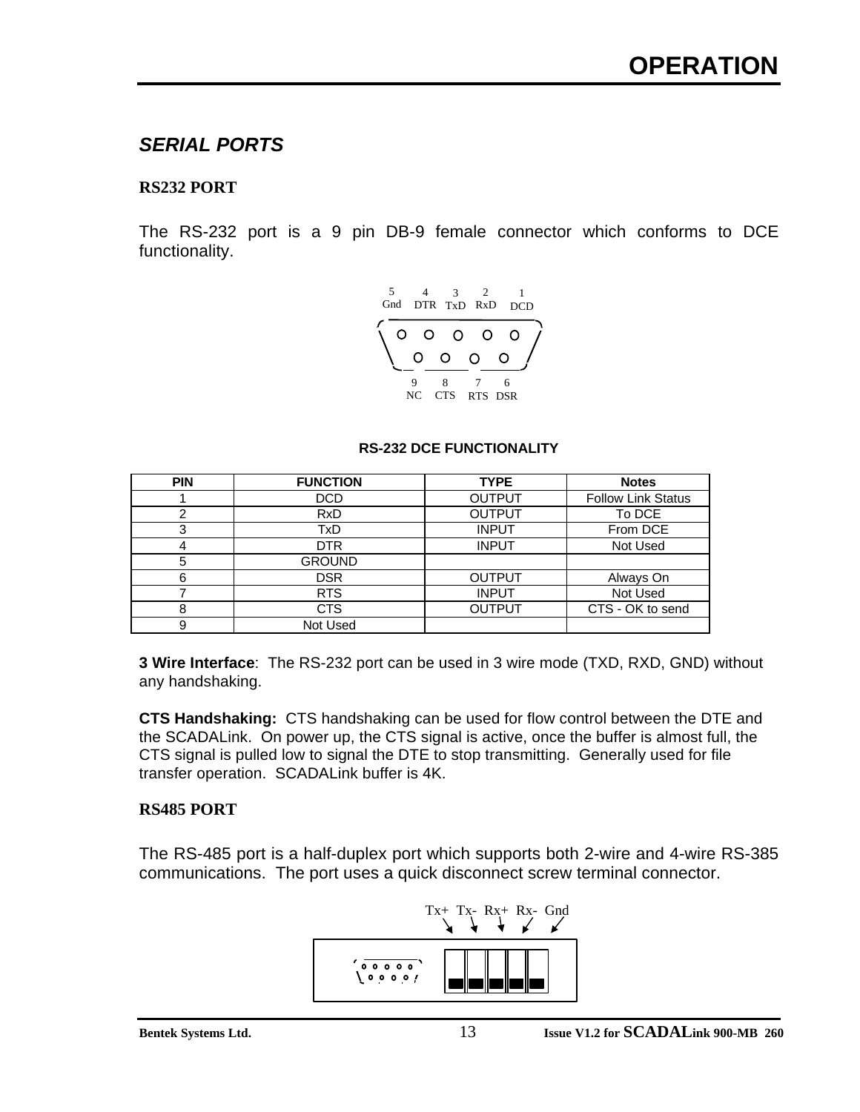### *SERIAL PORTS*

#### **RS232 PORT**

The RS-232 port is a 9 pin DB-9 female connector which conforms to DCE functionality.



#### **RS-232 DCE FUNCTIONALITY**

| <b>PIN</b> | <b>FUNCTION</b> | <b>TYPE</b>   | <b>Notes</b>              |
|------------|-----------------|---------------|---------------------------|
|            | <b>DCD</b>      | <b>OUTPUT</b> | <b>Follow Link Status</b> |
| 2          | <b>RxD</b>      | <b>OUTPUT</b> | To DCE                    |
| 3          | TxD             | <b>INPUT</b>  | From DCE                  |
| 4          | DTR.            | <b>INPUT</b>  | Not Used                  |
| 5          | <b>GROUND</b>   |               |                           |
| 6          | DSR.            | <b>OUTPUT</b> | Always On                 |
|            | <b>RTS</b>      | <b>INPUT</b>  | Not Used                  |
| 8          | <b>CTS</b>      | <b>OUTPUT</b> | CTS - OK to send          |
| 9          | Not Used        |               |                           |

**3 Wire Interface**: The RS-232 port can be used in 3 wire mode (TXD, RXD, GND) without any handshaking.

**CTS Handshaking:** CTS handshaking can be used for flow control between the DTE and the SCADALink. On power up, the CTS signal is active, once the buffer is almost full, the CTS signal is pulled low to signal the DTE to stop transmitting. Generally used for file transfer operation. SCADALink buffer is 4K.

#### **RS485 PORT**

The RS-485 port is a half-duplex port which supports both 2-wire and 4-wire RS-385 communications. The port uses a quick disconnect screw terminal connector.

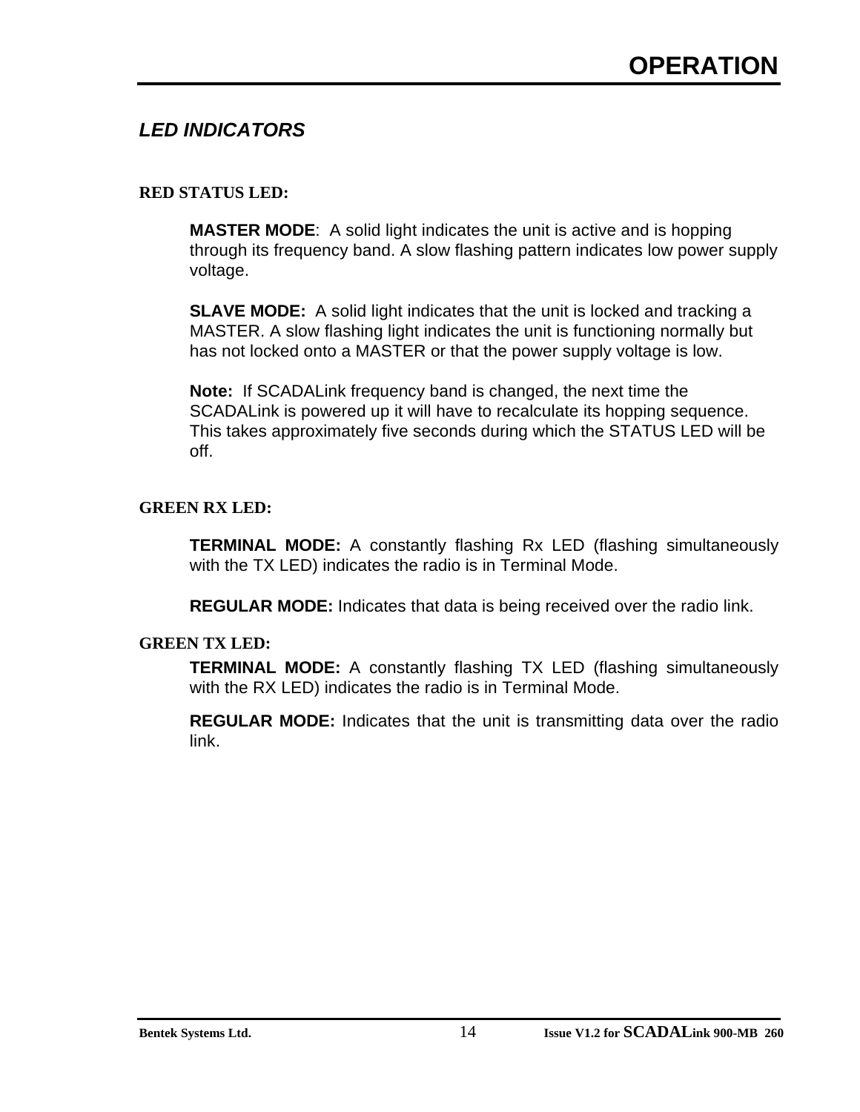### *LED INDICATORS*

#### **RED STATUS LED:**

**MASTER MODE**: A solid light indicates the unit is active and is hopping through its frequency band. A slow flashing pattern indicates low power supply voltage.

**SLAVE MODE:** A solid light indicates that the unit is locked and tracking a MASTER. A slow flashing light indicates the unit is functioning normally but has not locked onto a MASTER or that the power supply voltage is low.

**Note:** If SCADALink frequency band is changed, the next time the SCADALink is powered up it will have to recalculate its hopping sequence. This takes approximately five seconds during which the STATUS LED will be off.

#### **GREEN RX LED:**

**TERMINAL MODE:** A constantly flashing Rx LED (flashing simultaneously with the TX LED) indicates the radio is in Terminal Mode.

**REGULAR MODE:** Indicates that data is being received over the radio link.

#### **GREEN TX LED:**

**TERMINAL MODE:** A constantly flashing TX LED (flashing simultaneously with the RX LED) indicates the radio is in Terminal Mode.

**REGULAR MODE:** Indicates that the unit is transmitting data over the radio link.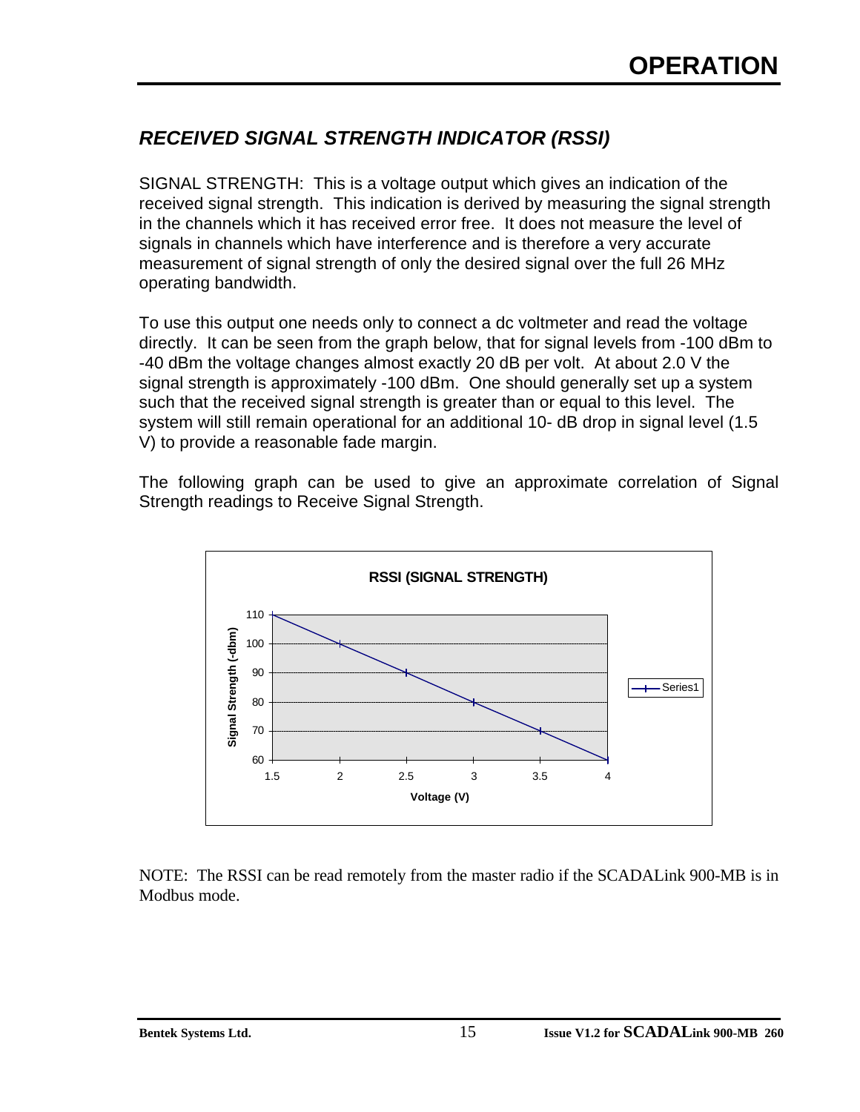### *RECEIVED SIGNAL STRENGTH INDICATOR (RSSI)*

SIGNAL STRENGTH: This is a voltage output which gives an indication of the received signal strength. This indication is derived by measuring the signal strength in the channels which it has received error free. It does not measure the level of signals in channels which have interference and is therefore a very accurate measurement of signal strength of only the desired signal over the full 26 MHz operating bandwidth.

To use this output one needs only to connect a dc voltmeter and read the voltage directly. It can be seen from the graph below, that for signal levels from -100 dBm to -40 dBm the voltage changes almost exactly 20 dB per volt. At about 2.0 V the signal strength is approximately -100 dBm. One should generally set up a system such that the received signal strength is greater than or equal to this level. The system will still remain operational for an additional 10- dB drop in signal level (1.5 V) to provide a reasonable fade margin.

The following graph can be used to give an approximate correlation of Signal Strength readings to Receive Signal Strength.



NOTE: The RSSI can be read remotely from the master radio if the SCADALink 900-MB is in Modbus mode.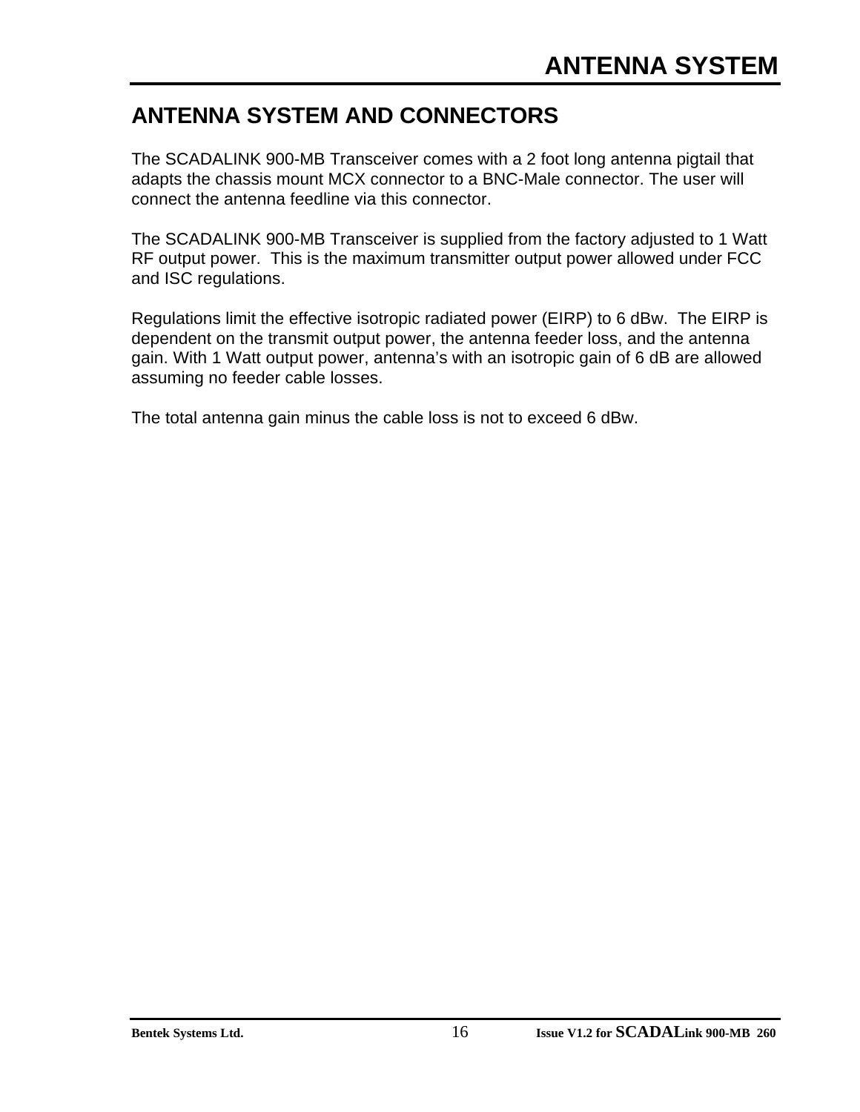### **ANTENNA SYSTEM AND CONNECTORS**

The SCADALINK 900-MB Transceiver comes with a 2 foot long antenna pigtail that adapts the chassis mount MCX connector to a BNC-Male connector. The user will connect the antenna feedline via this connector.

The SCADALINK 900-MB Transceiver is supplied from the factory adjusted to 1 Watt RF output power. This is the maximum transmitter output power allowed under FCC and ISC regulations.

Regulations limit the effective isotropic radiated power (EIRP) to 6 dBw. The EIRP is dependent on the transmit output power, the antenna feeder loss, and the antenna gain. With 1 Watt output power, antenna's with an isotropic gain of 6 dB are allowed assuming no feeder cable losses.

The total antenna gain minus the cable loss is not to exceed 6 dBw.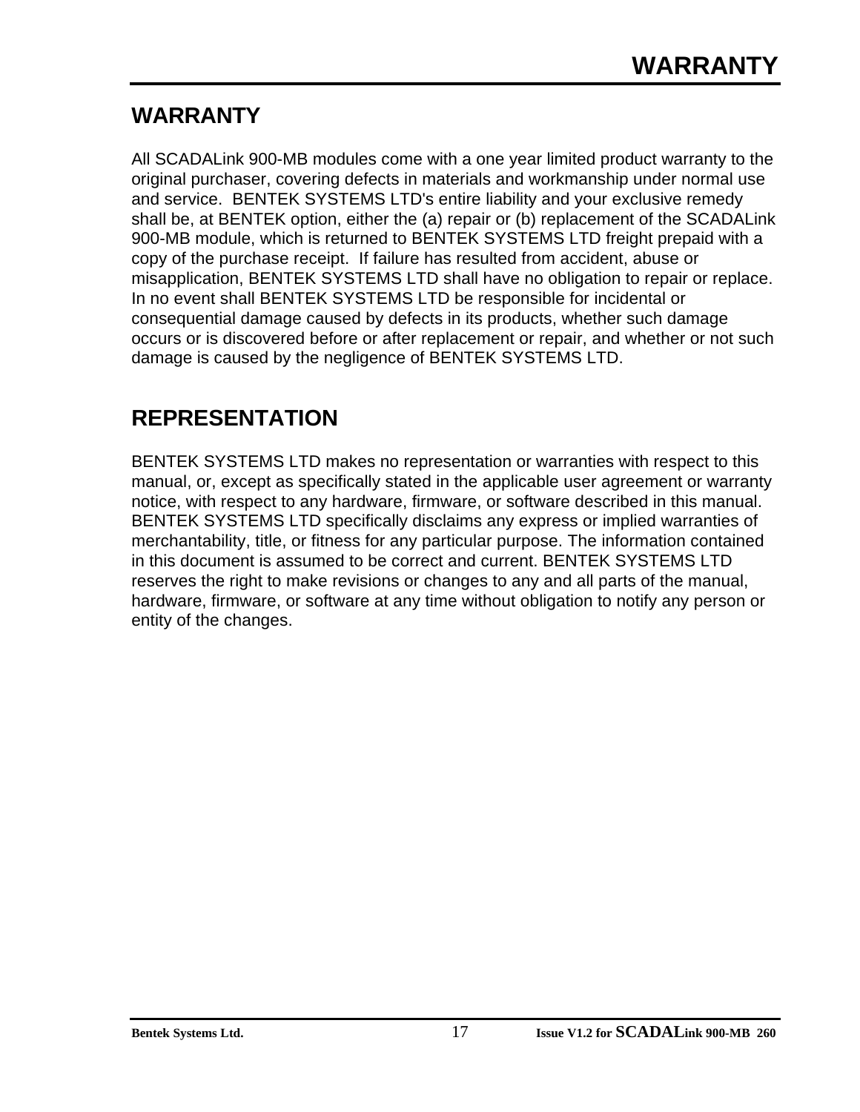### **WARRANTY**

All SCADALink 900-MB modules come with a one year limited product warranty to the original purchaser, covering defects in materials and workmanship under normal use and service. BENTEK SYSTEMS LTD's entire liability and your exclusive remedy shall be, at BENTEK option, either the (a) repair or (b) replacement of the SCADALink 900-MB module, which is returned to BENTEK SYSTEMS LTD freight prepaid with a copy of the purchase receipt. If failure has resulted from accident, abuse or misapplication, BENTEK SYSTEMS LTD shall have no obligation to repair or replace. In no event shall BENTEK SYSTEMS LTD be responsible for incidental or consequential damage caused by defects in its products, whether such damage occurs or is discovered before or after replacement or repair, and whether or not such damage is caused by the negligence of BENTEK SYSTEMS LTD.

### **REPRESENTATION**

BENTEK SYSTEMS LTD makes no representation or warranties with respect to this manual, or, except as specifically stated in the applicable user agreement or warranty notice, with respect to any hardware, firmware, or software described in this manual. BENTEK SYSTEMS LTD specifically disclaims any express or implied warranties of merchantability, title, or fitness for any particular purpose. The information contained in this document is assumed to be correct and current. BENTEK SYSTEMS LTD reserves the right to make revisions or changes to any and all parts of the manual, hardware, firmware, or software at any time without obligation to notify any person or entity of the changes.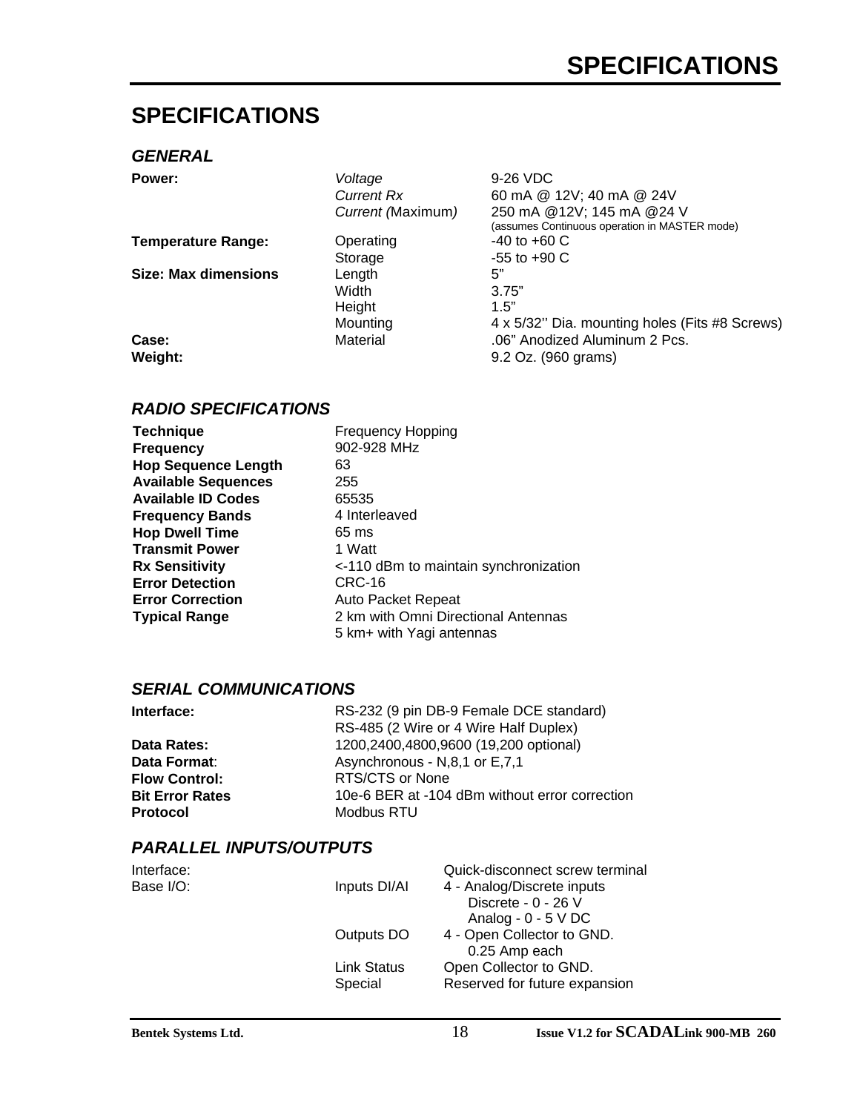### **SPECIFICATIONS**

#### *GENERAL*

| Power:                      | Voltage           | 9-26 VDC                                       |
|-----------------------------|-------------------|------------------------------------------------|
|                             | <b>Current Rx</b> | 60 mA @ 12V; 40 mA @ 24V                       |
|                             | Current (Maximum) | 250 mA @12V; 145 mA @24 V                      |
|                             |                   | (assumes Continuous operation in MASTER mode)  |
| <b>Temperature Range:</b>   | Operating         | $-40$ to $+60$ C                               |
|                             | Storage           | $-55$ to $+90$ C                               |
| <b>Size: Max dimensions</b> | Length            | 5"                                             |
|                             | Width             | 3.75"                                          |
|                             | Height            | 1.5"                                           |
|                             | Mounting          | 4 x 5/32" Dia. mounting holes (Fits #8 Screws) |
| Case:                       | Material          | .06" Anodized Aluminum 2 Pcs.                  |
| Weight:                     |                   | 9.2 Oz. (960 grams)                            |
|                             |                   |                                                |

#### *RADIO SPECIFICATIONS*

| <b>Technique</b>           | <b>Frequency Hopping</b>                                        |
|----------------------------|-----------------------------------------------------------------|
| <b>Frequency</b>           | 902-928 MHz                                                     |
| <b>Hop Sequence Length</b> | 63                                                              |
| <b>Available Sequences</b> | 255                                                             |
| <b>Available ID Codes</b>  | 65535                                                           |
| <b>Frequency Bands</b>     | 4 Interleaved                                                   |
| <b>Hop Dwell Time</b>      | 65 ms                                                           |
| <b>Transmit Power</b>      | 1 Watt                                                          |
| <b>Rx Sensitivity</b>      | <-110 dBm to maintain synchronization                           |
| <b>Error Detection</b>     | CRC-16                                                          |
| <b>Error Correction</b>    | <b>Auto Packet Repeat</b>                                       |
| <b>Typical Range</b>       | 2 km with Omni Directional Antennas<br>5 km+ with Yagi antennas |

#### *SERIAL COMMUNICATIONS*

| Interface:             | RS-232 (9 pin DB-9 Female DCE standard)        |
|------------------------|------------------------------------------------|
|                        | RS-485 (2 Wire or 4 Wire Half Duplex)          |
| Data Rates:            | 1200,2400,4800,9600 (19,200 optional)          |
| Data Format:           | Asynchronous - N,8,1 or E,7,1                  |
| <b>Flow Control:</b>   | RTS/CTS or None                                |
| <b>Bit Error Rates</b> | 10e-6 BER at -104 dBm without error correction |
| <b>Protocol</b>        | Modbus RTU                                     |

#### *PARALLEL INPUTS/OUTPUTS*

| Interface: |                    | Quick-disconnect screw terminal |
|------------|--------------------|---------------------------------|
| Base I/O:  | Inputs DI/AI       | 4 - Analog/Discrete inputs      |
|            |                    | Discrete - 0 - 26 V             |
|            |                    | Analog - $0 - 5$ V DC           |
|            | Outputs DO         | 4 - Open Collector to GND.      |
|            |                    | 0.25 Amp each                   |
|            | <b>Link Status</b> | Open Collector to GND.          |
|            | Special            | Reserved for future expansion   |
|            |                    |                                 |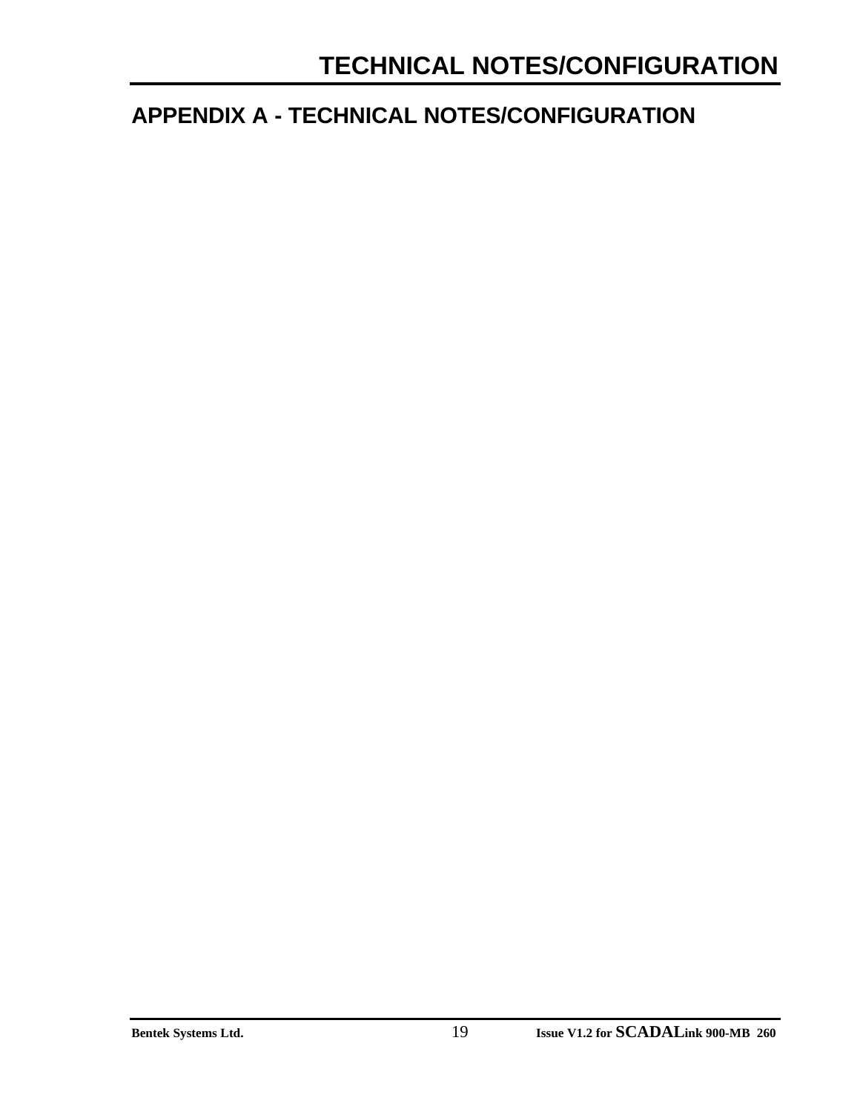### **APPENDIX A - TECHNICAL NOTES/CONFIGURATION**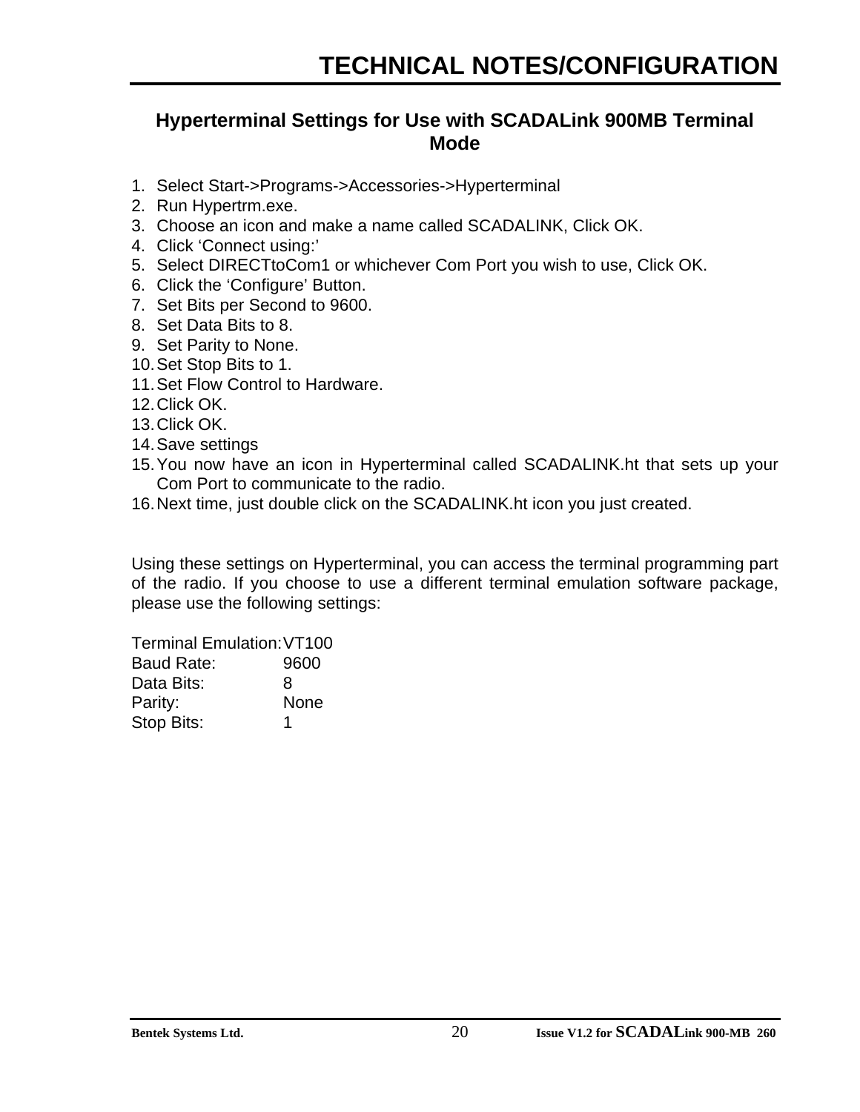### **Hyperterminal Settings for Use with SCADALink 900MB Terminal Mode**

- 1. Select Start->Programs->Accessories->Hyperterminal
- 2. Run Hypertrm.exe.
- 3. Choose an icon and make a name called SCADALINK, Click OK.
- 4. Click 'Connect using:'
- 5. Select DIRECTtoCom1 or whichever Com Port you wish to use, Click OK.
- 6. Click the 'Configure' Button.
- 7. Set Bits per Second to 9600.
- 8. Set Data Bits to 8.
- 9. Set Parity to None.
- 10.Set Stop Bits to 1.
- 11.Set Flow Control to Hardware.
- 12.Click OK.
- 13.Click OK.
- 14.Save settings
- 15.You now have an icon in Hyperterminal called SCADALINK.ht that sets up your Com Port to communicate to the radio.
- 16.Next time, just double click on the SCADALINK.ht icon you just created.

Using these settings on Hyperterminal, you can access the terminal programming part of the radio. If you choose to use a different terminal emulation software package, please use the following settings:

Terminal Emulation:VT100

| <b>Baud Rate:</b> | 9600 |
|-------------------|------|
| Data Bits:        | 8    |
| Parity:           | None |
| Stop Bits:        |      |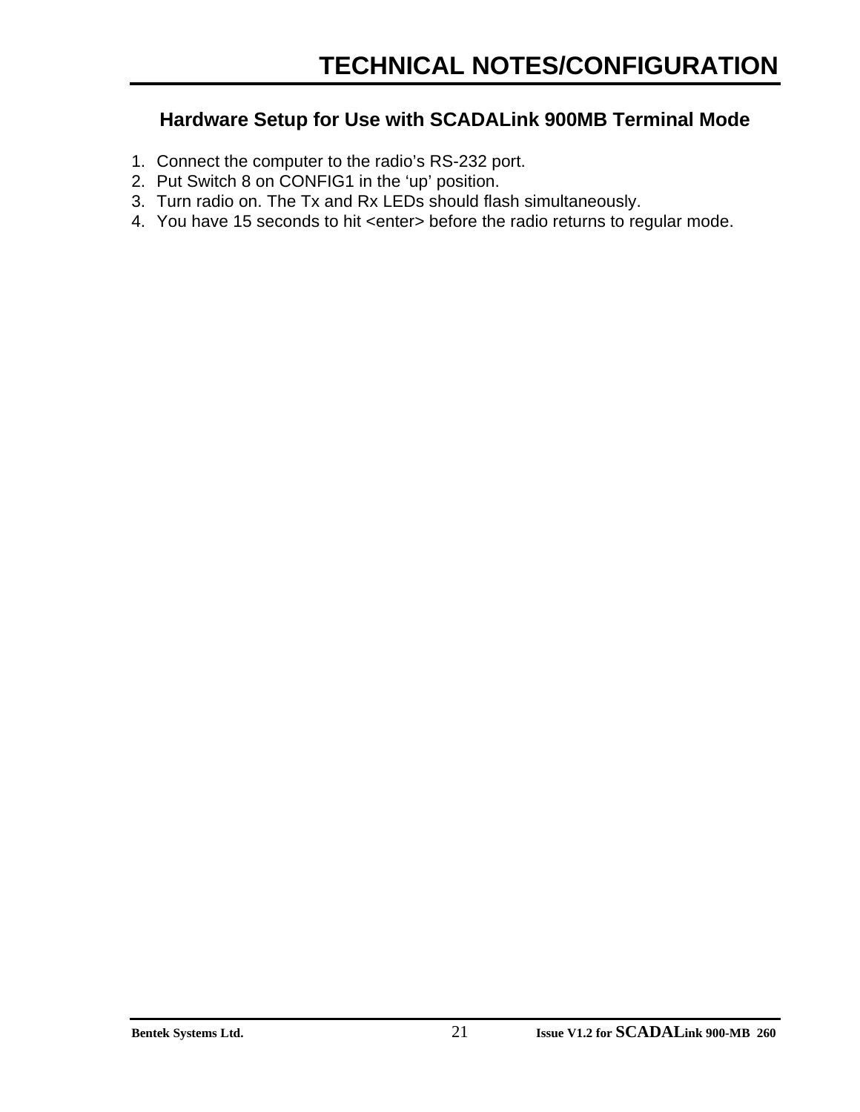### **Hardware Setup for Use with SCADALink 900MB Terminal Mode**

- 1. Connect the computer to the radio's RS-232 port.
- 2. Put Switch 8 on CONFIG1 in the 'up' position.
- 3. Turn radio on. The Tx and Rx LEDs should flash simultaneously.
- 4. You have 15 seconds to hit <enter> before the radio returns to regular mode.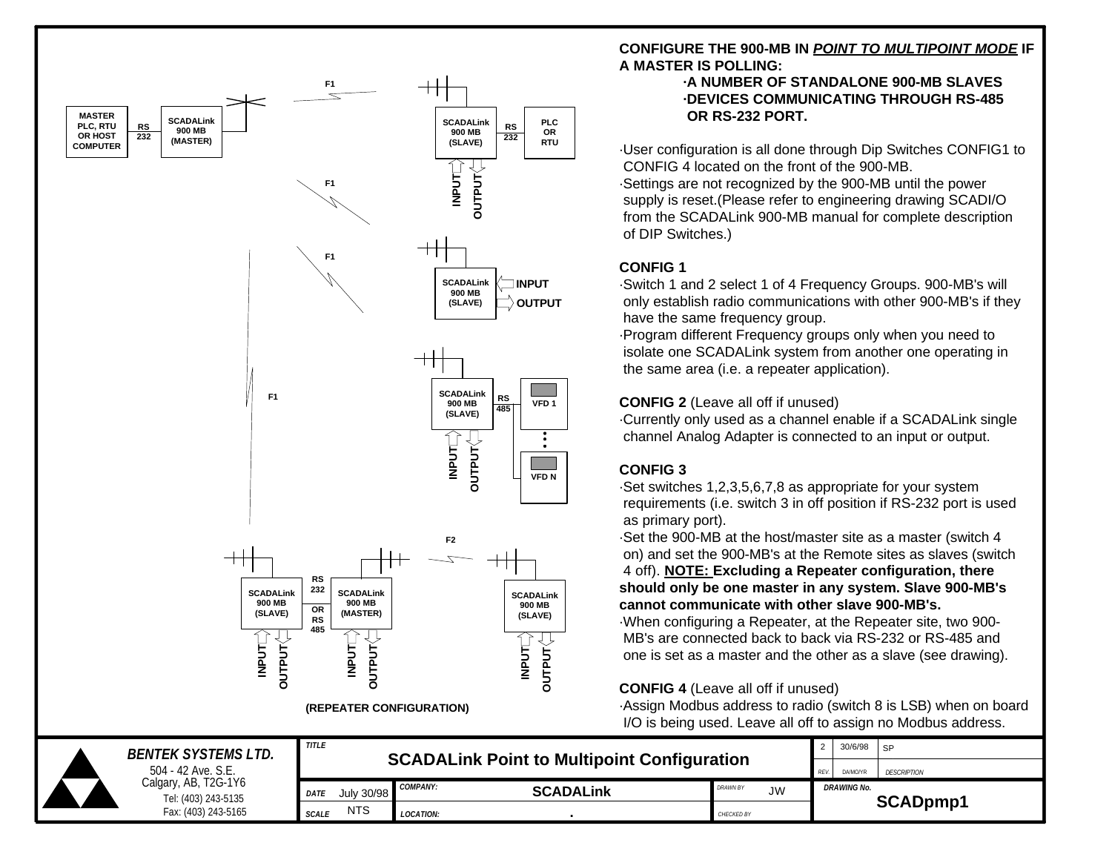

#### **CONFIGURE THE 900-MB IN** *POINT TO MULTIPOINT MODE* **IF A MASTER IS POLLING:**

#### **·A NUMBER OF STANDALONE 900-MB SLAVES ·DEVICES COMMUNICATING THROUGH RS-485 OR RS-232 PORT.**

·User configuration is all done through Dip Switches CONFIG1 to CONFIG 4 located on the front of the 900-MB. ·Settings are not recognized by the 900-MB until the power supply is reset.(Please refer to engineering drawing SCADI/O from the SCADALink 900-MB manual for complete description of DIP Switches.)

#### **CONFIG 1**

·Switch 1 and 2 select 1 of 4 Frequency Groups. 900-MB's will only establish radio communications with other 900-MB's if they have the same frequency group.

·Program different Frequency groups only when you need to isolate one SCADALink system from another one operating in the same area (i.e. a repeater application).

#### **CONFIG 2** (Leave all off if unused)

·Currently only used as a channel enable if a SCADALink single channel Analog Adapter is connected to an input or output.

#### **CONFIG 3**

·Set switches 1,2,3,5,6,7,8 as appropriate for your system requirements (i.e. switch 3 in off position if RS-232 port is used as primary port).

·Set the 900-MB at the host/master site as a master (switch 4 on) and set the 900-MB's at the Remote sites as slaves (switch 4 off). **NOTE: Excluding a Repeater configuration, there should only be one master in any system. Slave 900-MB's cannot communicate with other slave 900-MB's.**

·When configuring a Repeater, at the Repeater site, two 900- MB's are connected back to back via RS-232 or RS-485 and one is set as a master and the other as a slave (see drawing).

#### **CONFIG 4** (Leave all off if unused)

·Assign Modbus address to radio (switch 8 is LSB) when on board I/O is being used. Leave all off to assign no Modbus address.

|                    | <b>BENTEK SYSTEMS LTD.</b>                  | <b>TITLE</b>               | <b>SCADALING Point to Multipoint Configuration</b> | 30/6/98                      | SP                 |          |
|--------------------|---------------------------------------------|----------------------------|----------------------------------------------------|------------------------------|--------------------|----------|
| 504 - 42 Ave. S.E. |                                             |                            |                                                    | REV.<br>DA/MO/YR             | <b>DESCRIPTION</b> |          |
|                    | Calgary, AB, T2G-1Y6<br>Tel: (403) 243-5135 | July 30/98<br><b>DATE</b>  | <b>COMPANY:</b><br><b>SCADALINK</b>                | <b>DRAWN BY</b><br><b>JW</b> | <b>DRAWING No.</b> |          |
|                    | Fax: (403) 243-5165                         | <b>NTS</b><br><b>SCALE</b> | <b>LOCATION:</b>                                   | CHECKED BY                   |                    | SCADpmp1 |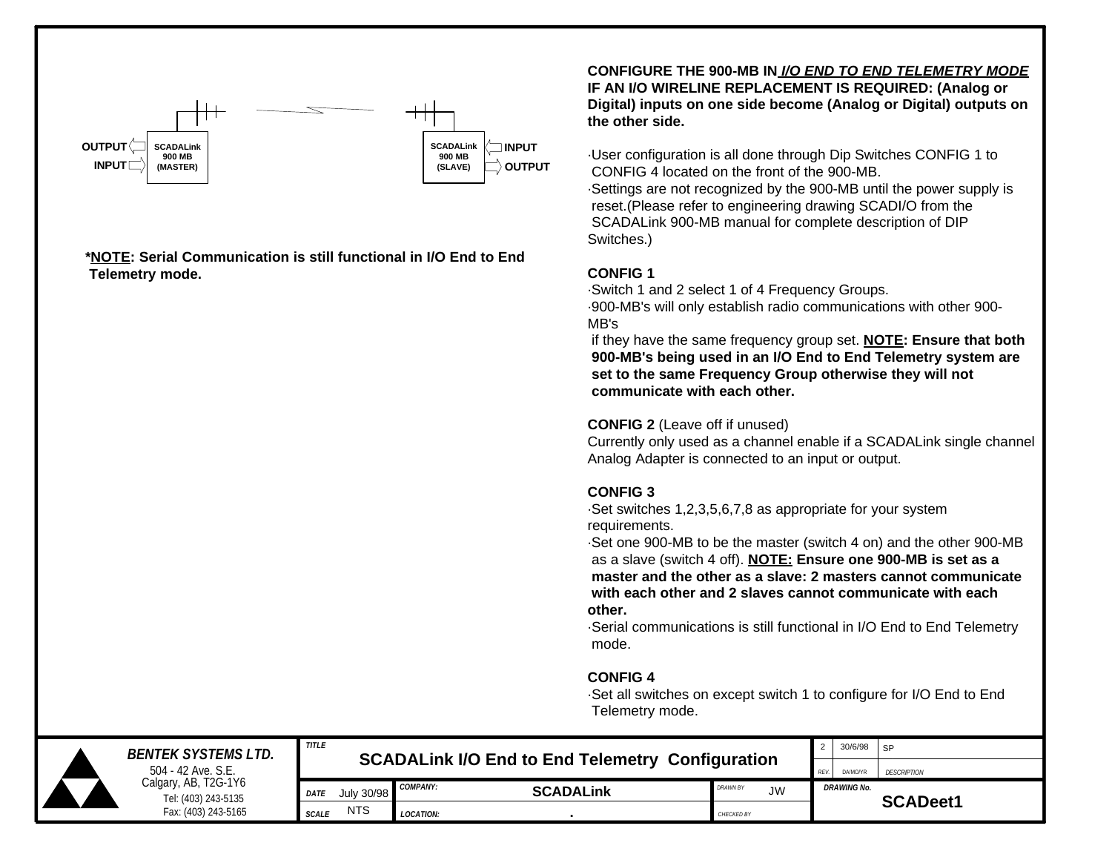

**\*NOTE: Serial Communication is still functional in I/O End to End Telemetry mode.**

**CONFIGURE THE 900-MB IN** *I/O END TO END TELEMETRY MODE* **IF AN I/O WIRELINE REPLACEMENT IS REQUIRED: (Analog or Digital) inputs on one side become (Analog or Digital) outputs on the other side.**

·User configuration is all done through Dip Switches CONFIG 1 to CONFIG 4 located on the front of the 900-MB. ·Settings are not recognized by the 900-MB until the power supply is reset.(Please refer to engineering drawing SCADI/O from the SCADALink 900-MB manual for complete description of DIP Switches.)

#### **CONFIG 1**

·Switch 1 and 2 select 1 of 4 Frequency Groups. ·900-MB's will only establish radio communications with other 900- MB's

 if they have the same frequency group set. **NOTE: Ensure that both 900-MB's being used in an I/O End to End Telemetry system are set to the same Frequency Group otherwise they will not communicate with each other.**

#### **CONFIG 2** (Leave off if unused)

Currently only used as a channel enable if a SCADALink single channel Analog Adapter is connected to an input or output.

#### **CONFIG 3**

·Set switches 1,2,3,5,6,7,8 as appropriate for your system requirements.

·Set one 900-MB to be the master (switch 4 on) and the other 900-MB as a slave (switch 4 off). **NOTE: Ensure one 900-MB is set as a master and the other as a slave: 2 masters cannot communicate with each other and 2 slaves cannot communicate with each other.**

·Serial communications is still functional in I/O End to End Telemetry mode.

#### **CONFIG 4**

·Set all switches on except switch 1 to configure for I/O End to End Telemetry mode.

|                                                                                          | <b>BENTEK SYSTEMS LTD.</b> | <b>TITLE</b><br><b>SCADALINK I/O End to End Telemetry Configuration</b> |            |                  |                  |                              |          | 30/6/98            | <b>SP</b>       |
|------------------------------------------------------------------------------------------|----------------------------|-------------------------------------------------------------------------|------------|------------------|------------------|------------------------------|----------|--------------------|-----------------|
| 504 - 42 Ave. S.E.<br>Calgary, AB, T2G-1Y6<br>Tel: (403) 243-5135<br>Fax: (403) 243-5165 |                            | REV.                                                                    |            |                  |                  |                              | DA/MO/YR | <b>DESCRIPTION</b> |                 |
|                                                                                          |                            | <b>DATE</b>                                                             | July 30/98 | <b>COMPANY:</b>  | <b>SCADALINK</b> | <b>DRAWN BY</b><br><b>JW</b> |          | <b>DRAWING No.</b> | <b>SCADeet1</b> |
|                                                                                          |                            | <b>SCALE</b>                                                            | <b>NTS</b> | <b>LOCATION:</b> |                  | CHECKED BY                   |          |                    |                 |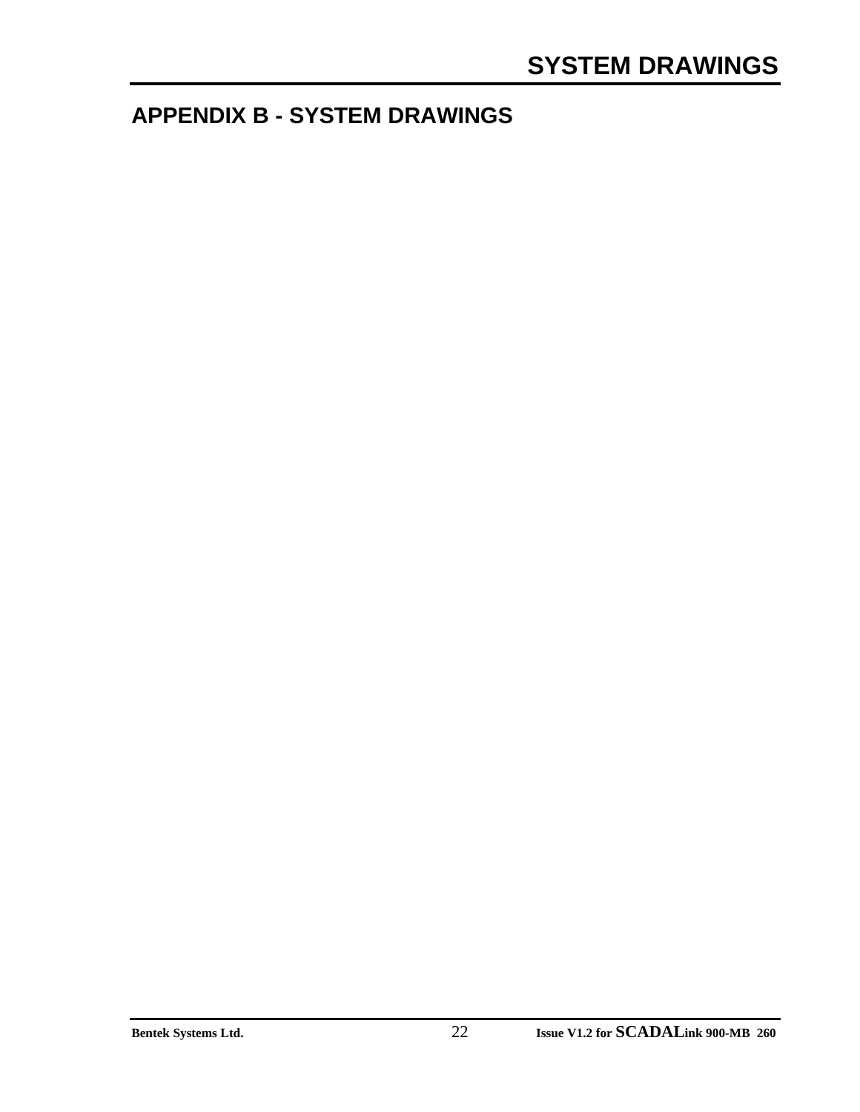### **APPENDIX B - SYSTEM DRAWINGS**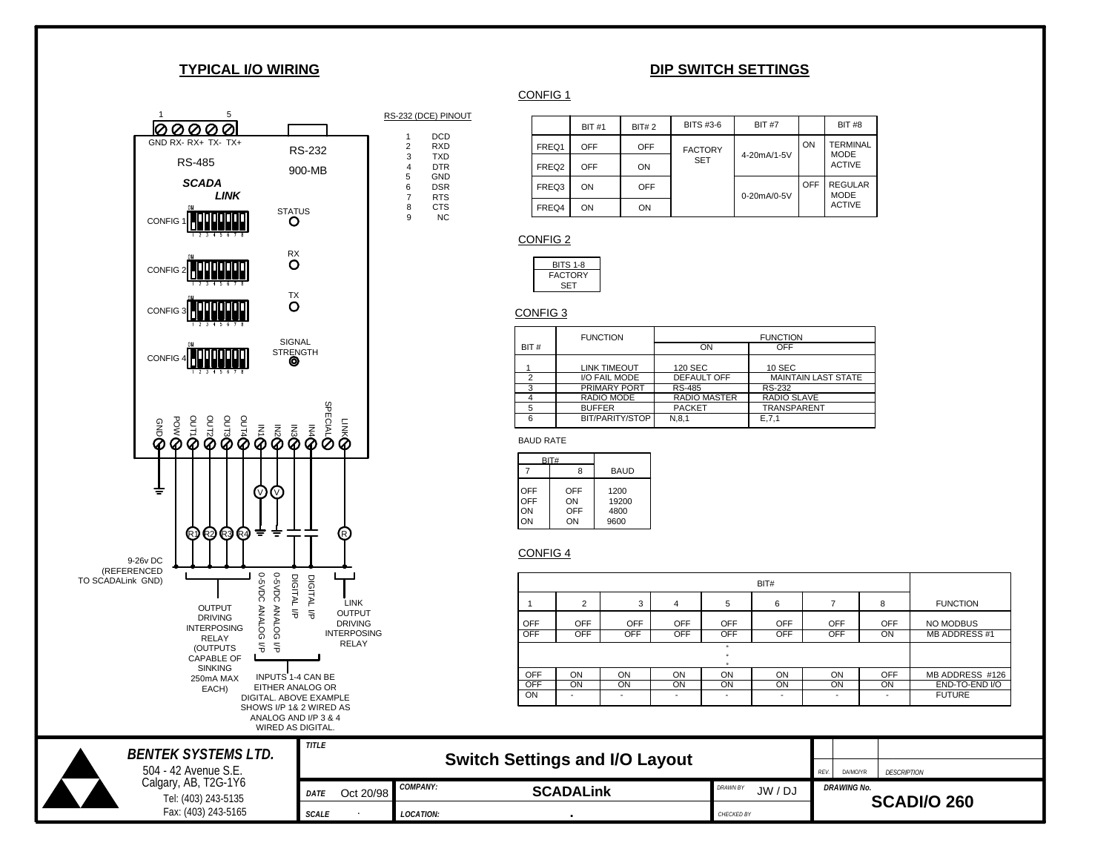#### **TYPICAL I/O WIRING**







|       | <b>BIT #1</b> | BIT#2      | BITS #3-6      | <b>BIT #7</b> |     | <b>BIT #8</b>                  |
|-------|---------------|------------|----------------|---------------|-----|--------------------------------|
| FREQ1 | <b>OFF</b>    | <b>OFF</b> | <b>FACTORY</b> |               | ON  | <b>TERMINAL</b><br><b>MODE</b> |
| FREQ2 | OFF           | ON         | <b>SET</b>     | 4-20mA/1-5V   |     | <b>ACTIVE</b>                  |
| FREQ3 | ON            | <b>OFF</b> |                | 0-20mA/0-5V   | OFF | <b>REGULAR</b><br><b>MODE</b>  |
| FREQ4 | ON            | ON         |                |               |     | <b>ACTIVE</b>                  |

#### CONFIG 2



#### CONFIG 3

|               | <b>FUNCTION</b>     | <b>FUNCTION</b>     |                            |  |  |  |  |
|---------------|---------------------|---------------------|----------------------------|--|--|--|--|
| BIT#          |                     | ON                  | OFF                        |  |  |  |  |
|               | <b>LINK TIMEOUT</b> | 120 SEC             | 10 SEC                     |  |  |  |  |
| $\mathcal{P}$ | I/O FAIL MODE       | <b>DEFAULT OFF</b>  | <b>MAINTAIN LAST STATE</b> |  |  |  |  |
|               | <b>PRIMARY PORT</b> | <b>RS-485</b>       | RS-232                     |  |  |  |  |
|               | RADIO MODE          | <b>RADIO MASTER</b> | RADIO SLAVE                |  |  |  |  |
| 5             | <b>BUFFER</b>       | <b>PACKET</b>       | <b>TRANSPARENT</b>         |  |  |  |  |
| 6             | BIT/PARITY/STOP     | N.8.1               | E.7.1                      |  |  |  |  |

BAUD RATE

|                        | BIT#                   |                               |
|------------------------|------------------------|-------------------------------|
|                        | ጸ                      | <b>BAUD</b>                   |
| OFF<br>OFF<br>ON<br>ON | OFF<br>ON<br>OFF<br>ON | 1200<br>19200<br>4800<br>9600 |

#### CONFIG 4

|            | BIT#                              |                          |                          |            |                          |            |            |                     |  |  |
|------------|-----------------------------------|--------------------------|--------------------------|------------|--------------------------|------------|------------|---------------------|--|--|
|            | 2                                 | 3                        | 4                        | 5          | 6                        |            | 8          | <b>FUNCTION</b>     |  |  |
| OFF        | OFF                               | <b>OFF</b>               | OFF                      | <b>OFF</b> | <b>OFF</b>               | <b>OFF</b> | <b>OFF</b> | NO MODBUS           |  |  |
| <b>OFF</b> | <b>OFF</b>                        | <b>OFF</b>               | <b>OFF</b>               | <b>OFF</b> | <b>OFF</b>               | <b>OFF</b> | ON         | <b>MB ADDRESS#1</b> |  |  |
|            | $^{\circ}$<br>$\sim$<br>$\bullet$ |                          |                          |            |                          |            |            |                     |  |  |
| <b>OFF</b> | ON                                | ON                       | ON                       | ON         | ON                       | ON         | OFF        | MB ADDRESS #126     |  |  |
| <b>OFF</b> | ON                                | ON                       | ON                       | ON         | ON                       | ON         | ON         | END-TO-END I/O      |  |  |
| ON         |                                   | $\overline{\phantom{0}}$ | $\overline{\phantom{a}}$ |            | $\overline{\phantom{a}}$ |            |            | <b>FUTURE</b>       |  |  |

| <b>BENTEK SYSTEMS LTD.</b>                  | TITLE              |           |                  | <b>Switch Settings and I/O Layout</b> |                                 |      |                    |             |  |
|---------------------------------------------|--------------------|-----------|------------------|---------------------------------------|---------------------------------|------|--------------------|-------------|--|
| 504 - 42 Avenue S.E.                        |                    |           |                  |                                       |                                 | REV. | DA/MO/YR           | DESCRIPTION |  |
| Calgary, AB, T2G-1Y6<br>Tel: (403) 243-5135 | <i><b>DATE</b></i> | Oct 20/98 | <b>COMPANY:</b>  | <b>SCADALINK</b>                      | <b>DRAWN BY</b><br>JW /<br>/ DJ |      | <b>DRAWING No.</b> |             |  |
| Fax: (403) 243-5165                         | <b>SCALE</b>       |           | <b>LOCATION:</b> |                                       | CHECKED BY                      |      | <b>SCADI/O 260</b> |             |  |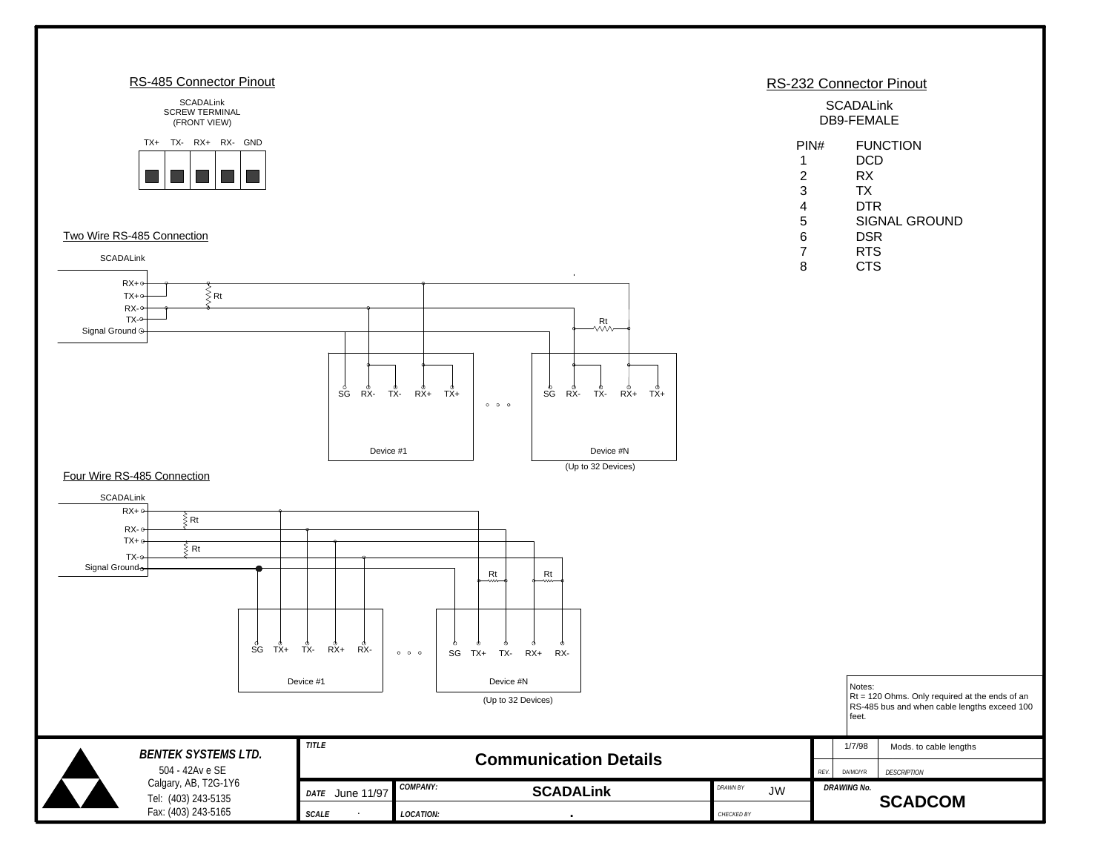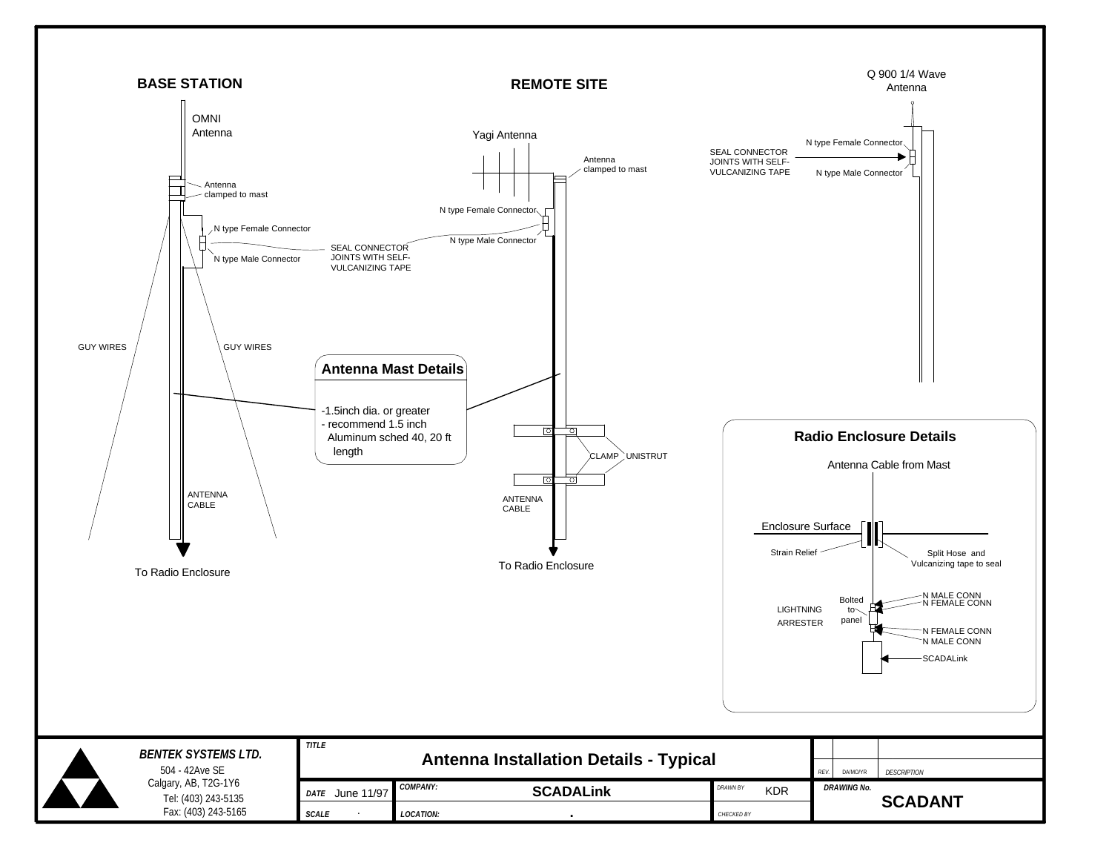